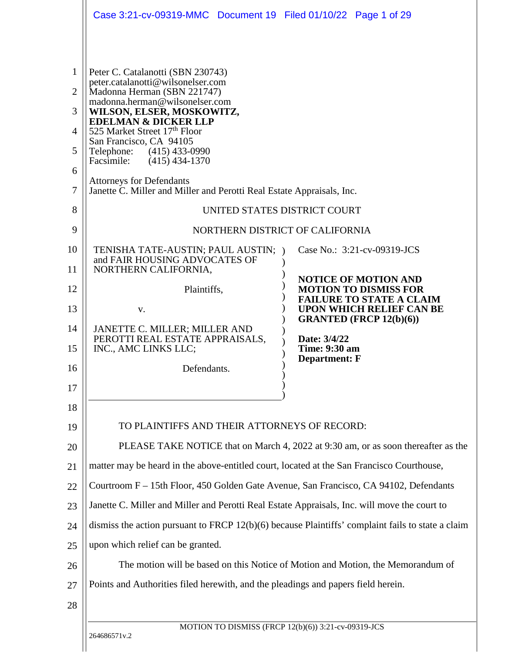|                                                                                   | Case 3:21-cv-09319-MMC  Document 19  Filed 01/10/22  Page 1 of 29                                                                                                                                                                                                                                                                                                                                                                             |                                                                                                      |
|-----------------------------------------------------------------------------------|-----------------------------------------------------------------------------------------------------------------------------------------------------------------------------------------------------------------------------------------------------------------------------------------------------------------------------------------------------------------------------------------------------------------------------------------------|------------------------------------------------------------------------------------------------------|
| $\mathbf{1}$<br>$\overline{2}$<br>3<br>$\overline{4}$<br>5<br>6<br>$\overline{7}$ | Peter C. Catalanotti (SBN 230743)<br>peter.catalanotti@wilsonelser.com<br>Madonna Herman (SBN 221747)<br>madonna.herman@wilsonelser.com<br>WILSON, ELSER, MOSKOWITZ,<br><b>EDELMAN &amp; DICKER LLP</b><br>525 Market Street 17th Floor<br>San Francisco, CA 94105<br>Telephone: (415) 433-0990<br>Facsimile:<br>$(415)$ 434-1370<br><b>Attorneys for Defendants</b><br>Janette C. Miller and Miller and Perotti Real Estate Appraisals, Inc. |                                                                                                      |
| 8                                                                                 |                                                                                                                                                                                                                                                                                                                                                                                                                                               | UNITED STATES DISTRICT COURT                                                                         |
| 9                                                                                 |                                                                                                                                                                                                                                                                                                                                                                                                                                               | NORTHERN DISTRICT OF CALIFORNIA                                                                      |
| 10                                                                                | TENISHA TATE-AUSTIN; PAUL AUSTIN; )                                                                                                                                                                                                                                                                                                                                                                                                           | Case No.: 3:21-cv-09319-JCS                                                                          |
| 11                                                                                | and FAIR HOUSING ADVOCATES OF<br>NORTHERN CALIFORNIA,                                                                                                                                                                                                                                                                                                                                                                                         |                                                                                                      |
| 12                                                                                | Plaintiffs,                                                                                                                                                                                                                                                                                                                                                                                                                                   | <b>NOTICE OF MOTION AND</b><br><b>MOTION TO DISMISS FOR</b>                                          |
| 13                                                                                | V.                                                                                                                                                                                                                                                                                                                                                                                                                                            | <b>FAILURE TO STATE A CLAIM</b><br><b>UPON WHICH RELIEF CAN BE</b><br><b>GRANTED (FRCP 12(b)(6))</b> |
| 14                                                                                | JANETTE C. MILLER; MILLER AND<br>PEROTTI REAL ESTATE APPRAISALS,                                                                                                                                                                                                                                                                                                                                                                              | Date: 3/4/22                                                                                         |
| 15                                                                                | INC., AMC LINKS LLC;                                                                                                                                                                                                                                                                                                                                                                                                                          | <b>Time: 9:30 am</b><br><b>Department: F</b>                                                         |
| 16                                                                                | Defendants.                                                                                                                                                                                                                                                                                                                                                                                                                                   |                                                                                                      |
| 17                                                                                |                                                                                                                                                                                                                                                                                                                                                                                                                                               |                                                                                                      |
| 18                                                                                |                                                                                                                                                                                                                                                                                                                                                                                                                                               |                                                                                                      |
| 19                                                                                | TO PLAINTIFFS AND THEIR ATTORNEYS OF RECORD:                                                                                                                                                                                                                                                                                                                                                                                                  |                                                                                                      |
| 20                                                                                |                                                                                                                                                                                                                                                                                                                                                                                                                                               | PLEASE TAKE NOTICE that on March 4, 2022 at 9:30 am, or as soon thereafter as the                    |
| 21                                                                                | matter may be heard in the above-entitled court, located at the San Francisco Courthouse,                                                                                                                                                                                                                                                                                                                                                     |                                                                                                      |
| 22                                                                                | Courtroom F – 15th Floor, 450 Golden Gate Avenue, San Francisco, CA 94102, Defendants                                                                                                                                                                                                                                                                                                                                                         |                                                                                                      |
| 23                                                                                | Janette C. Miller and Miller and Perotti Real Estate Appraisals, Inc. will move the court to                                                                                                                                                                                                                                                                                                                                                  |                                                                                                      |
| 24                                                                                | dismiss the action pursuant to FRCP 12(b)(6) because Plaintiffs' complaint fails to state a claim                                                                                                                                                                                                                                                                                                                                             |                                                                                                      |
| 25                                                                                | upon which relief can be granted.                                                                                                                                                                                                                                                                                                                                                                                                             |                                                                                                      |
| 26                                                                                |                                                                                                                                                                                                                                                                                                                                                                                                                                               | The motion will be based on this Notice of Motion and Motion, the Memorandum of                      |
| 27                                                                                | Points and Authorities filed herewith, and the pleadings and papers field herein.                                                                                                                                                                                                                                                                                                                                                             |                                                                                                      |
| 28                                                                                |                                                                                                                                                                                                                                                                                                                                                                                                                                               |                                                                                                      |
|                                                                                   | 264686571v.2                                                                                                                                                                                                                                                                                                                                                                                                                                  | MOTION TO DISMISS (FRCP 12(b)(6)) 3:21-cv-09319-JCS                                                  |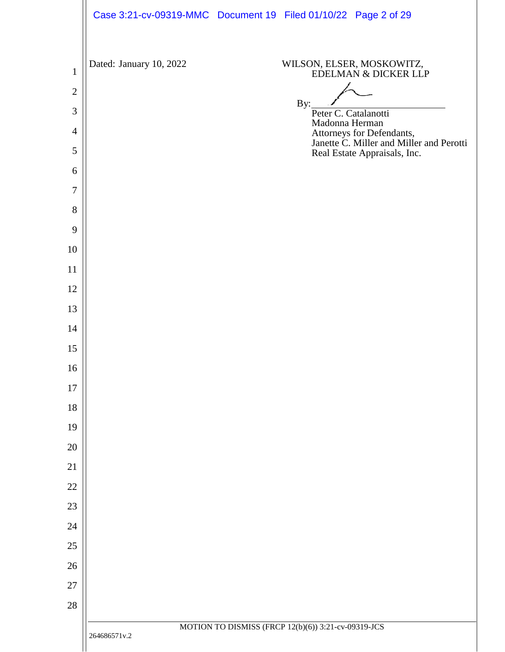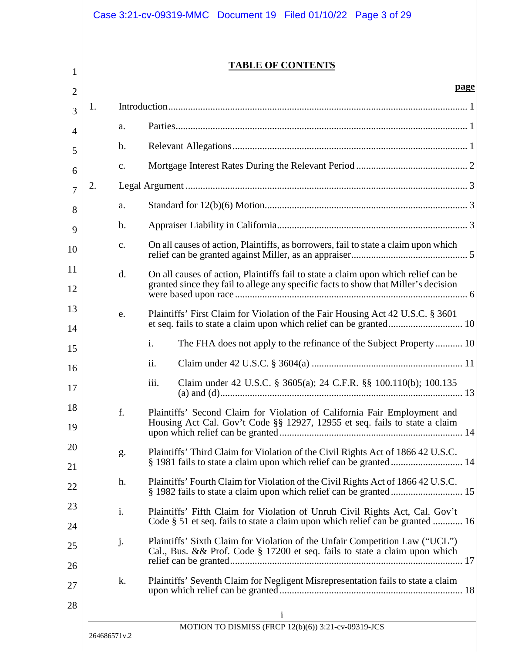|    |                | <b>TABLE OF CONTENTS</b>                                                                                                                                                  |
|----|----------------|---------------------------------------------------------------------------------------------------------------------------------------------------------------------------|
|    |                | page                                                                                                                                                                      |
| 1. |                |                                                                                                                                                                           |
|    | a.             |                                                                                                                                                                           |
|    | $\mathbf b$ .  |                                                                                                                                                                           |
|    | $C_{\bullet}$  |                                                                                                                                                                           |
| 2. |                |                                                                                                                                                                           |
|    | a.             |                                                                                                                                                                           |
|    | $\mathbf b$ .  |                                                                                                                                                                           |
|    | $C_{\bullet}$  | On all causes of action, Plaintiffs, as borrowers, fail to state a claim upon which                                                                                       |
|    | $\mathbf{d}$ . | On all causes of action, Plaintiffs fail to state a claim upon which relief can be<br>granted since they fail to allege any specific facts to show that Miller's decision |
|    | e.             | Plaintiffs' First Claim for Violation of the Fair Housing Act 42 U.S.C. § 3601                                                                                            |
|    |                | The FHA does not apply to the refinance of the Subject Property  10<br>$\mathbf{i}$ .                                                                                     |
|    |                | $\overline{\mathbf{u}}$ .                                                                                                                                                 |
|    |                | iii.<br>Claim under 42 U.S.C. § 3605(a); 24 C.F.R. §§ 100.110(b); 100.135                                                                                                 |
|    | f.             | Plaintiffs' Second Claim for Violation of California Fair Employment and<br>Housing Act Cal. Gov't Code §§ 12927, 12955 et seq. fails to state a claim                    |
|    | g.             | Plaintiffs' Third Claim for Violation of the Civil Rights Act of 1866 42 U.S.C.<br>§ 1981 fails to state a claim upon which relief can be granted  14                     |
|    | h.             | Plaintiffs' Fourth Claim for Violation of the Civil Rights Act of 1866 42 U.S.C.                                                                                          |
|    | i.             | Plaintiffs' Fifth Claim for Violation of Unruh Civil Rights Act, Cal. Gov't<br>Code § 51 et seq. fails to state a claim upon which relief can be granted  16              |
|    | j.             | Plaintiffs' Sixth Claim for Violation of the Unfair Competition Law ("UCL")<br>Cal., Bus. && Prof. Code § 17200 et seq. fails to state a claim upon which                 |
|    | k.             | Plaintiffs' Seventh Claim for Negligent Misrepresentation fails to state a claim                                                                                          |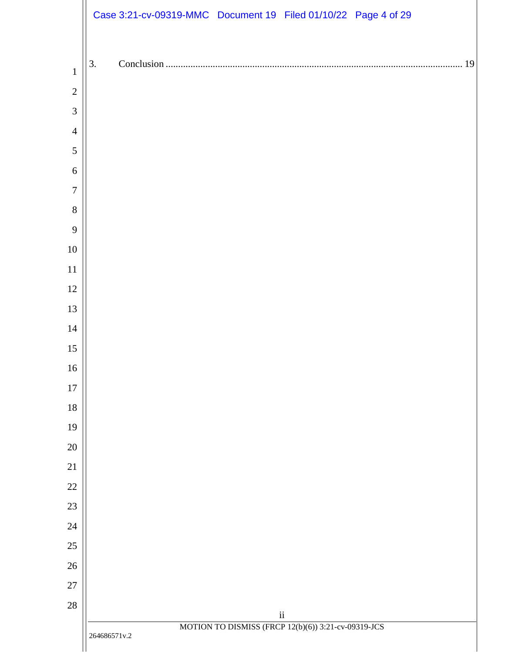|                  | Case 3:21-cv-09319-MMC Document 19 Filed 01/10/22 Page 4 of 29      |
|------------------|---------------------------------------------------------------------|
|                  |                                                                     |
| $\mathbf{1}$     | 3.<br>19                                                            |
| $\sqrt{2}$       |                                                                     |
| $\mathfrak{Z}$   |                                                                     |
| $\overline{4}$   |                                                                     |
| $\mathfrak s$    |                                                                     |
| $\sqrt{6}$       |                                                                     |
| $\boldsymbol{7}$ |                                                                     |
| $\,8\,$          |                                                                     |
| 9                |                                                                     |
| 10               |                                                                     |
| 11               |                                                                     |
| 12               |                                                                     |
| 13               |                                                                     |
| 14               |                                                                     |
| 15               |                                                                     |
| 16               |                                                                     |
| 17               |                                                                     |
| 18               |                                                                     |
| 19               |                                                                     |
| $20\,$           |                                                                     |
| $21\,$           |                                                                     |
| $22\,$           |                                                                     |
| 23               |                                                                     |
| 24               |                                                                     |
| $25\,$<br>$26\,$ |                                                                     |
| $27\,$           |                                                                     |
| $28\,$           |                                                                     |
|                  | $\rm ii$                                                            |
|                  | MOTION TO DISMISS (FRCP 12(b)(6)) 3:21-cv-09319-JCS<br>264686571v.2 |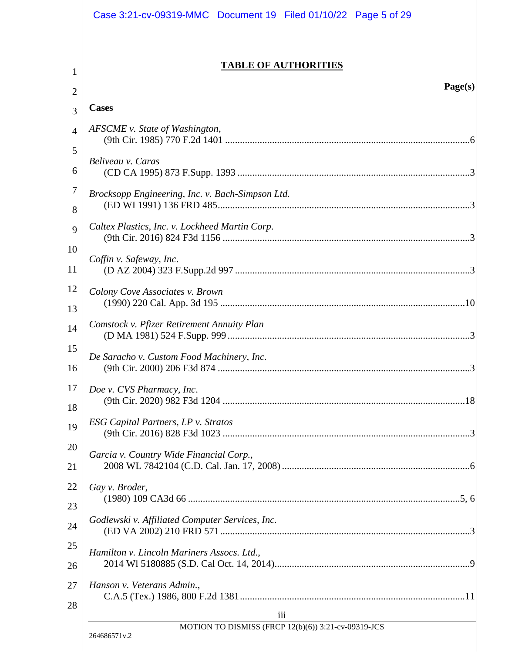|                | Case 3:21-cv-09319-MMC  Document 19  Filed 01/10/22  Page 5 of 29   |
|----------------|---------------------------------------------------------------------|
| 1              | <b>TABLE OF AUTHORITIES</b>                                         |
| 2              | Page(s)                                                             |
| 3              | <b>Cases</b>                                                        |
| $\overline{4}$ | AFSCME v. State of Washington,                                      |
| 5              |                                                                     |
| 6              | Beliveau v. Caras                                                   |
| 7              | Brocksopp Engineering, Inc. v. Bach-Simpson Ltd.                    |
| 8              |                                                                     |
| 9              | Caltex Plastics, Inc. v. Lockheed Martin Corp.                      |
| 10             | Coffin v. Safeway, Inc.                                             |
| 11             |                                                                     |
| 12             | Colony Cove Associates v. Brown                                     |
| 13             |                                                                     |
| 14             | Comstock v. Pfizer Retirement Annuity Plan                          |
| 15             | De Saracho v. Custom Food Machinery, Inc.                           |
| 16             | 3<br>(9th Cir. 2000) 206 F3d 874                                    |
| 17             | Doe v. CVS Pharmacy, Inc.                                           |
| 18             |                                                                     |
| 19             | ESG Capital Partners, LP v. Stratos                                 |
| 20             | Garcia v. Country Wide Financial Corp.,                             |
| 21             |                                                                     |
| 22             | Gay v. Broder,                                                      |
| 23             |                                                                     |
| 24             | Godlewski v. Affiliated Computer Services, Inc.                     |
| 25             | Hamilton v. Lincoln Mariners Assocs. Ltd.,                          |
| 26             |                                                                     |
| 27             | Hanson v. Veterans Admin.,                                          |
| 28             | 111                                                                 |
|                | MOTION TO DISMISS (FRCP 12(b)(6)) 3:21-cv-09319-JCS<br>264686571v.2 |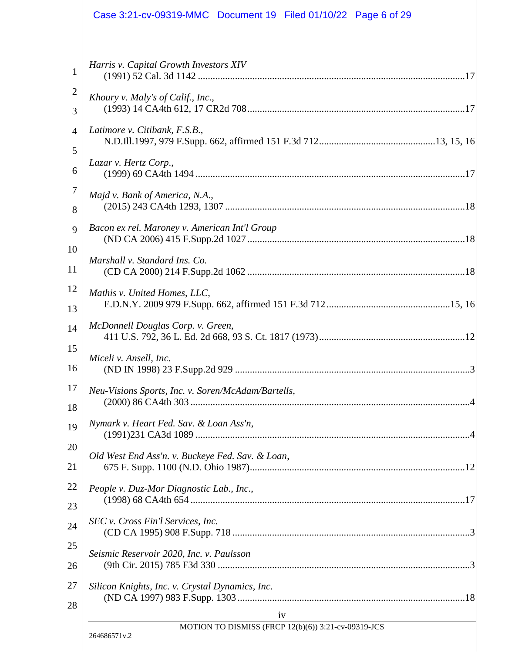| Case 3:21-cv-09319-MMC  Document 19  Filed 01/10/22  Page 6 of 29 |
|-------------------------------------------------------------------|
| Harris v. Capital Growth Investors XIV                            |
| Khoury v. Maly's of Calif., Inc.,                                 |
| Latimore v. Citibank, F.S.B.,                                     |
| Lazar v. Hertz Corp.,                                             |
| Majd v. Bank of America, N.A.,                                    |
| Bacon ex rel. Maroney v. American Int'l Group                     |
| Marshall v. Standard Ins. Co.                                     |
| Mathis v. United Homes, LLC,                                      |
| McDonnell Douglas Corp. v. Green,                                 |
| Miceli v. Ansell, Inc.                                            |
| Neu-Visions Sports, Inc. v. Soren/McAdam/Bartells,                |
| Nymark v. Heart Fed. Sav. & Loan Ass'n,                           |
| Old West End Ass'n. v. Buckeye Fed. Sav. & Loan,                  |
| People v. Duz-Mor Diagnostic Lab., Inc.,                          |
| SEC v. Cross Fin'l Services, Inc.                                 |
| Seismic Reservoir 2020, Inc. v. Paulsson                          |
| Silicon Knights, Inc. v. Crystal Dynamics, Inc.                   |
| iv<br>MOTION TO DISMISS (FRCP 12(b)(6)) 3:21-cv-09319-JCS         |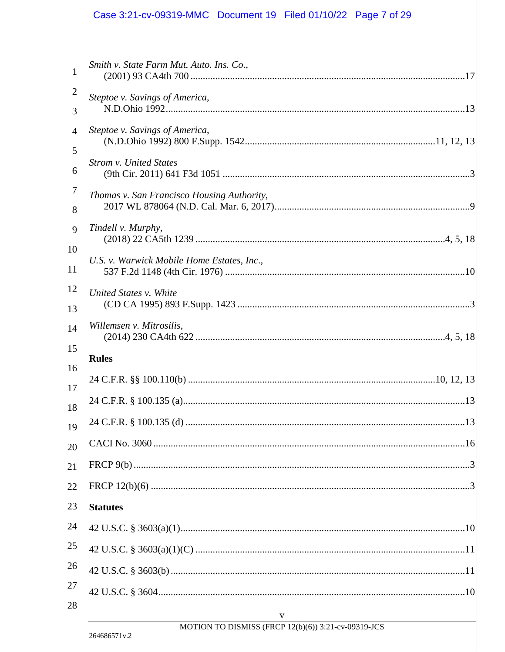|                     | Case 3:21-cv-09319-MMC  Document 19  Filed 01/10/22  Page 7 of 29 |
|---------------------|-------------------------------------------------------------------|
| $\mathbf{1}$        | Smith v. State Farm Mut. Auto. Ins. Co.,                          |
| $\overline{2}$<br>3 | Steptoe v. Savings of America,                                    |
| 4<br>5              | Steptoe v. Savings of America,                                    |
| 6                   | <b>Strom v. United States</b>                                     |
| 7<br>8              | Thomas v. San Francisco Housing Authority,                        |
| 9<br>10             | Tindell v. Murphy,                                                |
| 11                  | U.S. v. Warwick Mobile Home Estates, Inc.,                        |
| 12<br>13            | United States v. White                                            |
| 14<br>15            | Willemsen v. Mitrosilis,                                          |
| 16                  | <b>Rules</b>                                                      |
| 17                  |                                                                   |
| 18                  |                                                                   |
| 19                  |                                                                   |
| 20                  |                                                                   |
| 21                  |                                                                   |
| 22                  |                                                                   |
| 23                  | <b>Statutes</b>                                                   |
| 24                  |                                                                   |
| 25                  |                                                                   |
| 26                  |                                                                   |
| 27<br>28            |                                                                   |
|                     | V<br>MOTION TO DISMISS (FRCP 12(b)(6)) 3:21-cv-09319-JCS          |
|                     | 264686571v.2                                                      |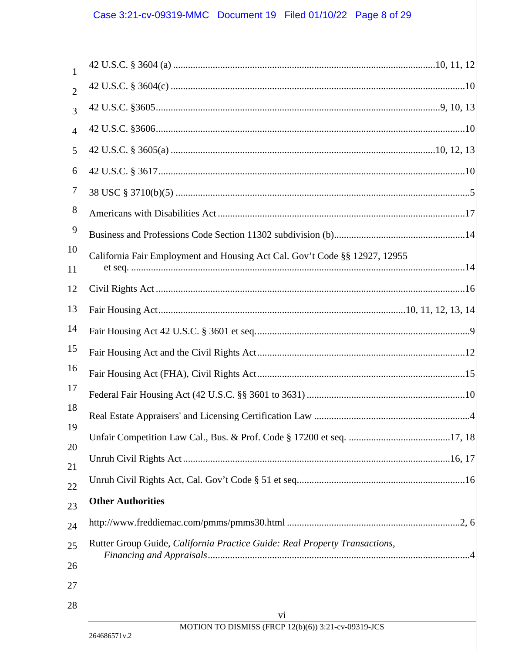# Case 3:21-cv-09319-MMC Document 19 Filed 01/10/22 Page 8 of 29

| $\mathbf{1}$   |                                                                            |
|----------------|----------------------------------------------------------------------------|
| $\overline{2}$ |                                                                            |
| 3              |                                                                            |
| $\overline{4}$ |                                                                            |
| 5              |                                                                            |
| 6              |                                                                            |
| $\tau$         |                                                                            |
| 8              |                                                                            |
| 9              |                                                                            |
| 10             | California Fair Employment and Housing Act Cal. Gov't Code §§ 12927, 12955 |
| 11             |                                                                            |
| 12             |                                                                            |
| 13             |                                                                            |
| 14             |                                                                            |
| 15             |                                                                            |
| 16             |                                                                            |
| 17             |                                                                            |
| 18             |                                                                            |
| 19<br>20       |                                                                            |
| 21             |                                                                            |
| 22             |                                                                            |
| 23             | <b>Other Authorities</b>                                                   |
| 24             |                                                                            |
| 25<br>26       | Rutter Group Guide, California Practice Guide: Real Property Transactions, |
| 27             |                                                                            |
| 28             |                                                                            |
|                | V1                                                                         |
|                | MOTION TO DISMISS (FRCP 12(b)(6)) 3:21-cv-09319-JCS<br>264686571v.2        |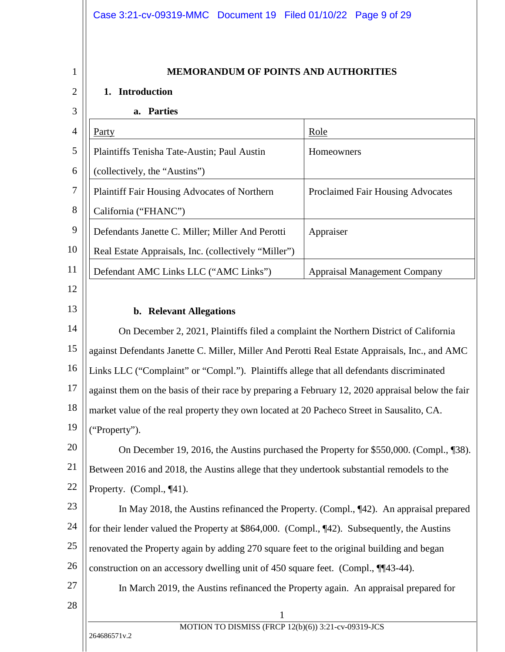1

2

3

## <span id="page-8-1"></span><span id="page-8-0"></span>**MEMORANDUM OF POINTS AND AUTHORITIES**

## **1. Introduction**

#### **a. Parties**

|    | Party                                                | Role                                     |
|----|------------------------------------------------------|------------------------------------------|
|    | Plaintiffs Tenisha Tate-Austin; Paul Austin          | <b>Homeowners</b>                        |
| 6  | (collectively, the "Austins")                        |                                          |
| 7  | Plaintiff Fair Housing Advocates of Northern         | <b>Proclaimed Fair Housing Advocates</b> |
| 8  | California ("FHANC")                                 |                                          |
| 9  | Defendants Janette C. Miller; Miller And Perotti     | Appraiser                                |
| 10 | Real Estate Appraisals, Inc. (collectively "Miller") |                                          |
| 11 | Defendant AMC Links LLC ("AMC Links")                | <b>Appraisal Management Company</b>      |

12 13

#### <span id="page-8-2"></span>**b. Relevant Allegations**

1 14 15 16 17 18 19 20 21 22 23 24 25 26 27 28 On December 2, 2021, Plaintiffs filed a complaint the Northern District of California against Defendants Janette C. Miller, Miller And Perotti Real Estate Appraisals, Inc., and AMC Links LLC ("Complaint" or "Compl."). Plaintiffs allege that all defendants discriminated against them on the basis of their race by preparing a February 12, 2020 appraisal below the fair market value of the real property they own located at 20 Pacheco Street in Sausalito, CA. ("Property"). On December 19, 2016, the Austins purchased the Property for \$550,000. (Compl., ¶38). Between 2016 and 2018, the Austins allege that they undertook substantial remodels to the Property. (Compl., ¶41). In May 2018, the Austins refinanced the Property. (Compl., ¶42). An appraisal prepared for their lender valued the Property at \$864,000. (Compl., ¶42). Subsequently, the Austins renovated the Property again by adding 270 square feet to the original building and began construction on an accessory dwelling unit of 450 square feet. (Compl., ¶¶43-44). In March 2019, the Austins refinanced the Property again. An appraisal prepared for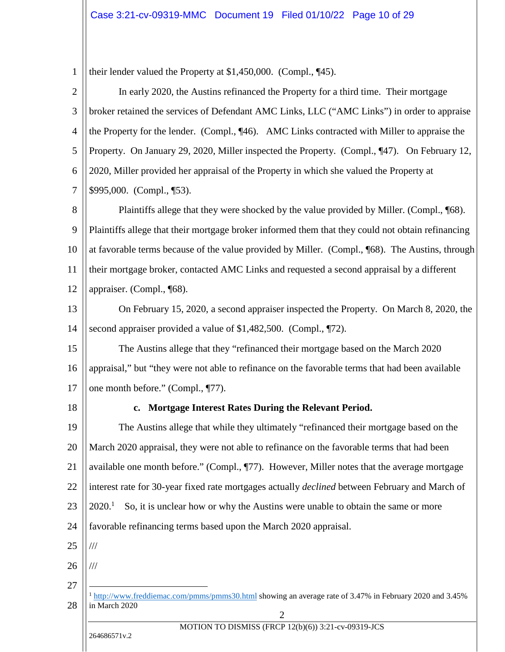1 their lender valued the Property at \$1,450,000. (Compl., ¶45).

<span id="page-9-1"></span><span id="page-9-0"></span>

| $\mathbf{2}$   | In early 2020, the Austins refinanced the Property for a third time. Their mortgage                                                                    |
|----------------|--------------------------------------------------------------------------------------------------------------------------------------------------------|
| 3              | broker retained the services of Defendant AMC Links, LLC ("AMC Links") in order to appraise                                                            |
| 4              | the Property for the lender. (Compl., ¶46). AMC Links contracted with Miller to appraise the                                                           |
| 5              | Property. On January 29, 2020, Miller inspected the Property. (Compl., ¶47). On February 12,                                                           |
| 6              | 2020, Miller provided her appraisal of the Property in which she valued the Property at                                                                |
| $\overline{7}$ | \$995,000. (Compl., ¶53).                                                                                                                              |
| 8              | Plaintiffs allege that they were shocked by the value provided by Miller. (Compl., [68).                                                               |
| 9              | Plaintiffs allege that their mortgage broker informed them that they could not obtain refinancing                                                      |
| 10             | at favorable terms because of the value provided by Miller. (Compl., ¶68). The Austins, through                                                        |
| 11             | their mortgage broker, contacted AMC Links and requested a second appraisal by a different                                                             |
| 12             | appraiser. (Compl., ¶68).                                                                                                                              |
| 13             | On February 15, 2020, a second appraiser inspected the Property. On March 8, 2020, the                                                                 |
| 14             | second appraiser provided a value of \$1,482,500. (Compl., 172).                                                                                       |
| 15             | The Austins allege that they "refinanced their mortgage based on the March 2020                                                                        |
| 16             | appraisal," but "they were not able to refinance on the favorable terms that had been available                                                        |
| 17             | one month before." (Compl., ¶77).                                                                                                                      |
| 18             | Mortgage Interest Rates During the Relevant Period.<br>$c_{\bullet}$                                                                                   |
| 19             | The Austins allege that while they ultimately "refinanced their mortgage based on the                                                                  |
| 20             | March 2020 appraisal, they were not able to refinance on the favorable terms that had been                                                             |
| 21             | available one month before." (Compl., ¶77). However, Miller notes that the average mortgage                                                            |
| 22             | interest rate for 30-year fixed rate mortgages actually <i>declined</i> between February and March of                                                  |
| 23             | 2020. <sup>1</sup><br>So, it is unclear how or why the Austins were unable to obtain the same or more                                                  |
| 24             | favorable refinancing terms based upon the March 2020 appraisal.                                                                                       |
| 25             | $/\!/ \!/$                                                                                                                                             |
| 26             | $/\!/ \!/$                                                                                                                                             |
| 27             |                                                                                                                                                        |
| 28             | <sup>1</sup> http://www.freddiemac.com/pmms/pmms30.html showing an average rate of 3.47% in February 2020 and 3.45%<br>in March 2020<br>$\overline{2}$ |
|                | MOTION TO DISMISS (FRCP 12(b)(6)) 3:21-cv-09319-JCS<br>264686571v.2                                                                                    |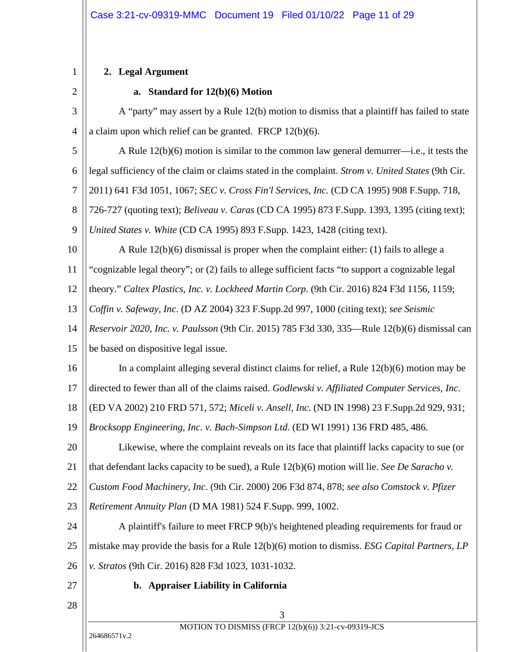## **2. Legal Argument**

1

## <span id="page-10-17"></span><span id="page-10-16"></span><span id="page-10-14"></span><span id="page-10-13"></span><span id="page-10-12"></span><span id="page-10-11"></span><span id="page-10-10"></span><span id="page-10-9"></span><span id="page-10-8"></span><span id="page-10-7"></span><span id="page-10-5"></span><span id="page-10-3"></span><span id="page-10-2"></span><span id="page-10-1"></span><span id="page-10-0"></span>**a. Standard for 12(b)(6) Motion**

<span id="page-10-15"></span><span id="page-10-6"></span><span id="page-10-4"></span>

| $\overline{2}$ | a. Standard for $12(b)(6)$ Motion                                                                   |
|----------------|-----------------------------------------------------------------------------------------------------|
| 3              | A "party" may assert by a Rule 12(b) motion to dismiss that a plaintiff has failed to state         |
| 4              | a claim upon which relief can be granted. FRCP $12(b)(6)$ .                                         |
| 5              | A Rule $12(b)(6)$ motion is similar to the common law general demurrer—i.e., it tests the           |
| 6              | legal sufficiency of the claim or claims stated in the complaint. Strom v. United States (9th Cir.  |
| $\tau$         | 2011) 641 F3d 1051, 1067; SEC v. Cross Fin'l Services, Inc. (CD CA 1995) 908 F.Supp. 718,           |
| 8              | 726-727 (quoting text); <i>Beliveau v. Caras</i> (CD CA 1995) 873 F.Supp. 1393, 1395 (citing text); |
| 9              | United States v. White (CD CA 1995) 893 F.Supp. 1423, 1428 (citing text).                           |
| 10             | A Rule $12(b)(6)$ dismissal is proper when the complaint either: (1) fails to allege a              |
| 11             | "cognizable legal theory"; or (2) fails to allege sufficient facts "to support a cognizable legal   |
| 12             | theory." Caltex Plastics, Inc. v. Lockheed Martin Corp. (9th Cir. 2016) 824 F3d 1156, 1159;         |
| 13             | Coffin v. Safeway, Inc. (D AZ 2004) 323 F.Supp.2d 997, 1000 (citing text); see Seismic              |
| 14             | Reservoir 2020, Inc. v. Paulsson (9th Cir. 2015) 785 F3d 330, 335—Rule 12(b)(6) dismissal can       |
| 15             | be based on dispositive legal issue.                                                                |
| 16             | In a complaint alleging several distinct claims for relief, a Rule $12(b)(6)$ motion may be         |
| 17             | directed to fewer than all of the claims raised. Godlewski v. Affiliated Computer Services, Inc.    |
| 18             | (ED VA 2002) 210 FRD 571, 572; Miceli v. Ansell, Inc. (ND IN 1998) 23 F.Supp.2d 929, 931;           |
| 19             | Brocksopp Engineering, Inc. v. Bach-Simpson Ltd. (ED WI 1991) 136 FRD 485, 486.                     |
| 20             | Likewise, where the complaint reveals on its face that plaintiff lacks capacity to sue (or          |
| 21             | that defendant lacks capacity to be sued), a Rule 12(b)(6) motion will lie. See De Saracho v.       |
| 22             | Custom Food Machinery, Inc. (9th Cir. 2000) 206 F3d 874, 878; see also Comstock v. Pfizer           |
| 23             | Retirement Annuity Plan (D MA 1981) 524 F.Supp. 999, 1002.                                          |
| 24             | A plaintiff's failure to meet FRCP 9(b)'s heightened pleading requirements for fraud or             |
| 25             | mistake may provide the basis for a Rule 12(b)(6) motion to dismiss. ESG Capital Partners, LP       |
| 26             | v. Stratos (9th Cir. 2016) 828 F3d 1023, 1031-1032.                                                 |
| 27             | b. Appraiser Liability in California                                                                |
| 28             | 3                                                                                                   |
|                | MOTION TO DISMISS (FRCP 12(b)(6)) 3:21-cv-09319-JCS                                                 |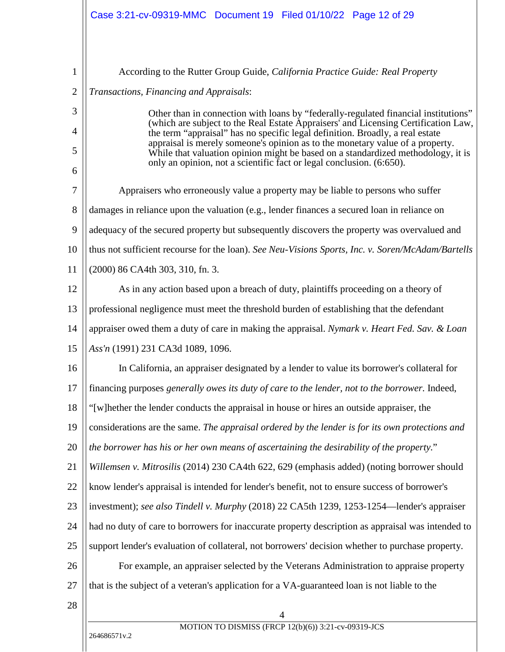<span id="page-11-5"></span><span id="page-11-4"></span><span id="page-11-3"></span><span id="page-11-2"></span><span id="page-11-1"></span><span id="page-11-0"></span>

| $\mathbf{1}$   | According to the Rutter Group Guide, California Practice Guide: Real Property                                                                                       |
|----------------|---------------------------------------------------------------------------------------------------------------------------------------------------------------------|
| $\overline{2}$ | Transactions, Financing and Appraisals:                                                                                                                             |
| 3              | Other than in connection with loans by "federally-regulated financial institutions"                                                                                 |
| 4              | (which are subject to the Real Estate Appraisers' and Licensing Certification Law,<br>the term "appraisal" has no specific legal definition. Broadly, a real estate |
| 5              | appraisal is merely someone's opinion as to the monetary value of a property.<br>While that valuation opinion might be based on a standardized methodology, it is   |
| 6              | only an opinion, not a scientific fact or legal conclusion. (6:650).                                                                                                |
| 7              | Appraisers who erroneously value a property may be liable to persons who suffer                                                                                     |
| 8              | damages in reliance upon the valuation (e.g., lender finances a secured loan in reliance on                                                                         |
| 9              | adequacy of the secured property but subsequently discovers the property was overvalued and                                                                         |
| 10             | thus not sufficient recourse for the loan). See Neu-Visions Sports, Inc. v. Soren/McAdam/Bartells                                                                   |
| 11             | (2000) 86 CA4th 303, 310, fn. 3.                                                                                                                                    |
| 12             | As in any action based upon a breach of duty, plaintiffs proceeding on a theory of                                                                                  |
| 13             | professional negligence must meet the threshold burden of establishing that the defendant                                                                           |
| 14             | appraiser owed them a duty of care in making the appraisal. Nymark v. Heart Fed. Sav. & Loan                                                                        |
| 15             | Ass'n (1991) 231 CA3d 1089, 1096.                                                                                                                                   |
| 16             | In California, an appraiser designated by a lender to value its borrower's collateral for                                                                           |
| 17             | financing purposes generally owes its duty of care to the lender, not to the borrower. Indeed,                                                                      |
| 18             | "[w] hether the lender conducts the appraisal in house or hires an outside appraiser, the                                                                           |
| 19             | considerations are the same. The appraisal ordered by the lender is for its own protections and                                                                     |
| 20             | the borrower has his or her own means of ascertaining the desirability of the property."                                                                            |
| 21             | Willemsen v. Mitrosilis (2014) 230 CA4th 622, 629 (emphasis added) (noting borrower should                                                                          |
| 22             | know lender's appraisal is intended for lender's benefit, not to ensure success of borrower's                                                                       |
| 23             | investment); see also Tindell v. Murphy (2018) 22 CA5th 1239, 1253-1254—lender's appraiser                                                                          |
| 24             | had no duty of care to borrowers for inaccurate property description as appraisal was intended to                                                                   |
| 25             | support lender's evaluation of collateral, not borrowers' decision whether to purchase property.                                                                    |
| 26             | For example, an appraiser selected by the Veterans Administration to appraise property                                                                              |
| 27             | that is the subject of a veteran's application for a VA-guaranteed loan is not liable to the                                                                        |
| 28             |                                                                                                                                                                     |
|                | MOTION TO DIVARGE (EDCD 12(b)(6)) 2.21 $_{\alpha}$ , 00210 JCC                                                                                                      |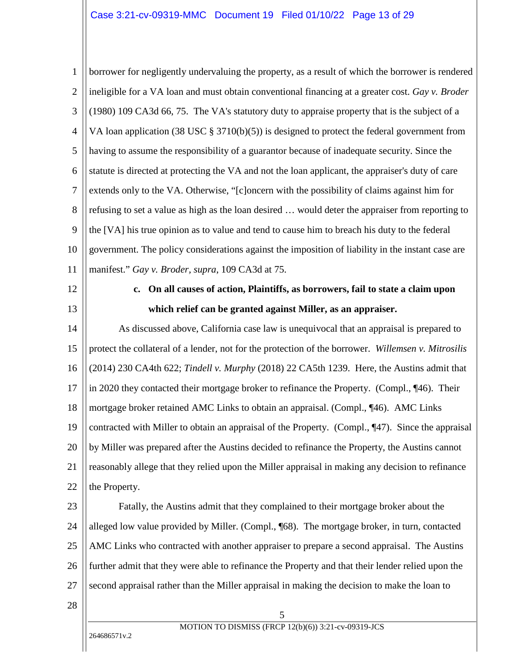<span id="page-12-4"></span><span id="page-12-1"></span>1 2 3 4 5 6 7 8 9 10 11 borrower for negligently undervaluing the property, as a result of which the borrower is rendered ineligible for a VA loan and must obtain conventional financing at a greater cost. *Gay v. Broder* (1980) 109 CA3d 66, 75. The VA's statutory duty to appraise property that is the subject of a VA loan application (38 USC § 3710(b)(5)) is designed to protect the federal government from having to assume the responsibility of a guarantor because of inadequate security. Since the statute is directed at protecting the VA and not the loan applicant, the appraiser's duty of care extends only to the VA. Otherwise, "[c]oncern with the possibility of claims against him for refusing to set a value as high as the loan desired … would deter the appraiser from reporting to the [VA] his true opinion as to value and tend to cause him to breach his duty to the federal government. The policy considerations against the imposition of liability in the instant case are manifest." *Gay v. Broder, supra*, 109 CA3d at 75.

- 12
- 13

# <span id="page-12-3"></span><span id="page-12-2"></span><span id="page-12-0"></span>**c. On all causes of action, Plaintiffs, as borrowers, fail to state a claim upon which relief can be granted against Miller, as an appraiser.**

14 15 16 17 18 19 20 21 22 As discussed above, California case law is unequivocal that an appraisal is prepared to protect the collateral of a lender, not for the protection of the borrower. *Willemsen v. Mitrosilis* (2014) 230 CA4th 622; *Tindell v. Murphy* (2018) 22 CA5th 1239. Here, the Austins admit that in 2020 they contacted their mortgage broker to refinance the Property. (Compl., ¶46). Their mortgage broker retained AMC Links to obtain an appraisal. (Compl., ¶46). AMC Links contracted with Miller to obtain an appraisal of the Property. (Compl., ¶47). Since the appraisal by Miller was prepared after the Austins decided to refinance the Property, the Austins cannot reasonably allege that they relied upon the Miller appraisal in making any decision to refinance the Property.

23 24 25 26 27 Fatally, the Austins admit that they complained to their mortgage broker about the alleged low value provided by Miller. (Compl., ¶68). The mortgage broker, in turn, contacted AMC Links who contracted with another appraiser to prepare a second appraisal. The Austins further admit that they were able to refinance the Property and that their lender relied upon the second appraisal rather than the Miller appraisal in making the decision to make the loan to

28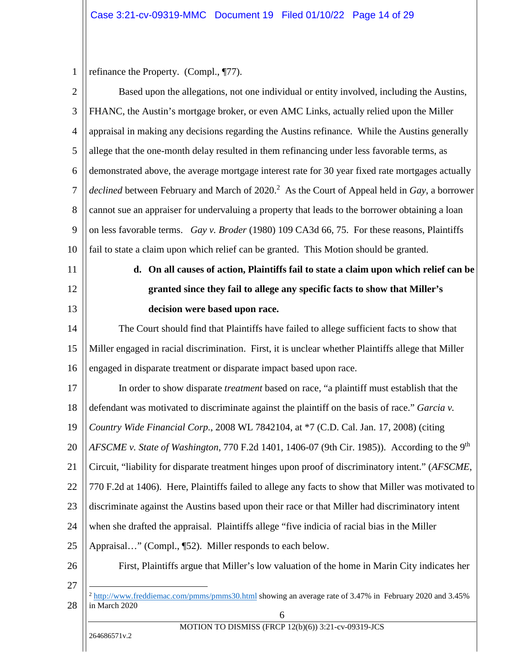<span id="page-13-3"></span>1 refinance the Property. (Compl., ¶77).

<span id="page-13-4"></span><span id="page-13-2"></span><span id="page-13-1"></span><span id="page-13-0"></span>

| $\overline{2}$ | Based upon the allegations, not one individual or entity involved, including the Austins,                                            |
|----------------|--------------------------------------------------------------------------------------------------------------------------------------|
| 3              | FHANC, the Austin's mortgage broker, or even AMC Links, actually relied upon the Miller                                              |
| $\overline{4}$ | appraisal in making any decisions regarding the Austins refinance. While the Austins generally                                       |
| 5              | allege that the one-month delay resulted in them refinancing under less favorable terms, as                                          |
| 6              | demonstrated above, the average mortgage interest rate for 30 year fixed rate mortgages actually                                     |
| $\tau$         | <i>declined</i> between February and March of 2020. <sup>2</sup> As the Court of Appeal held in Gay, a borrower                      |
| 8              | cannot sue an appraiser for undervaluing a property that leads to the borrower obtaining a loan                                      |
| 9              | on less favorable terms. Gay v. Broder (1980) 109 CA3d 66, 75. For these reasons, Plaintiffs                                         |
| 10             | fail to state a claim upon which relief can be granted. This Motion should be granted.                                               |
| 11             | d. On all causes of action, Plaintiffs fail to state a claim upon which relief can be                                                |
| 12             | granted since they fail to allege any specific facts to show that Miller's                                                           |
| 13             | decision were based upon race.                                                                                                       |
| 14             | The Court should find that Plaintiffs have failed to allege sufficient facts to show that                                            |
| 15             | Miller engaged in racial discrimination. First, it is unclear whether Plaintiffs allege that Miller                                  |
| 16             | engaged in disparate treatment or disparate impact based upon race.                                                                  |
| 17             | In order to show disparate <i>treatment</i> based on race, "a plaintiff must establish that the                                      |
| 18             | defendant was motivated to discriminate against the plaintiff on the basis of race." Garcia v.                                       |
| 19             | Country Wide Financial Corp., 2008 WL 7842104, at *7 (C.D. Cal. Jan. 17, 2008) (citing                                               |
| 20             | AFSCME v. State of Washington, 770 F.2d 1401, 1406-07 (9th Cir. 1985)). According to the 9th                                         |
| 21             | Circuit, "liability for disparate treatment hinges upon proof of discriminatory intent." (AFSCME,                                    |
| 22             | 770 F.2d at 1406). Here, Plaintiffs failed to allege any facts to show that Miller was motivated to                                  |
| 23             | discriminate against the Austins based upon their race or that Miller had discriminatory intent                                      |
| 24             | when she drafted the appraisal. Plaintiffs allege "five indicia of racial bias in the Miller                                         |
| 25             | Appraisal" (Compl., [52). Miller responds to each below.                                                                             |
| 26             | First, Plaintiffs argue that Miller's low valuation of the home in Marin City indicates her                                          |
| 27             |                                                                                                                                      |
| 28             | <sup>2</sup> http://www.freddiemac.com/pmms/pmms30.html showing an average rate of 3.47% in February 2020 and 3.45%<br>in March 2020 |
|                | 6<br>MOTION TO DISMISS (FRCP 12(b)(6)) 3:21-cv-09319-JCS                                                                             |
|                | 264686571v.2                                                                                                                         |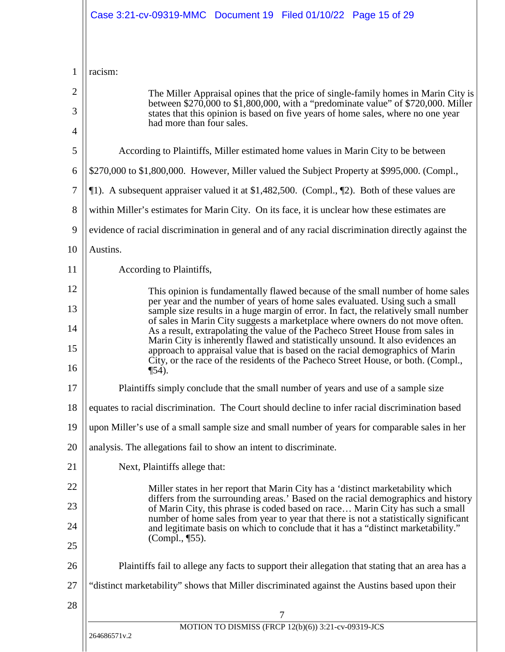|                | Case 3:21-cv-09319-MMC Document 19 Filed 01/10/22 Page 15 of 29                                                                                                                                                                                                                                                                     |  |  |
|----------------|-------------------------------------------------------------------------------------------------------------------------------------------------------------------------------------------------------------------------------------------------------------------------------------------------------------------------------------|--|--|
| $\mathbf{1}$   | racism:                                                                                                                                                                                                                                                                                                                             |  |  |
| $\overline{2}$ | The Miller Appraisal opines that the price of single-family homes in Marin City is                                                                                                                                                                                                                                                  |  |  |
| 3              | between $$270,000$ to $$1,800,000$ , with a "predominate value" of \$720,000. Miller<br>states that this opinion is based on five years of home sales, where no one year                                                                                                                                                            |  |  |
| $\overline{4}$ | had more than four sales.                                                                                                                                                                                                                                                                                                           |  |  |
| 5              | According to Plaintiffs, Miller estimated home values in Marin City to be between                                                                                                                                                                                                                                                   |  |  |
| 6              | \$270,000 to \$1,800,000. However, Miller valued the Subject Property at \$995,000. (Compl.,                                                                                                                                                                                                                                        |  |  |
| 7              | 11). A subsequent appraiser valued it at \$1,482,500. (Compl., 12). Both of these values are                                                                                                                                                                                                                                        |  |  |
| 8              | within Miller's estimates for Marin City. On its face, it is unclear how these estimates are                                                                                                                                                                                                                                        |  |  |
| 9              | evidence of racial discrimination in general and of any racial discrimination directly against the                                                                                                                                                                                                                                  |  |  |
| 10             | Austins.                                                                                                                                                                                                                                                                                                                            |  |  |
| 11             | According to Plaintiffs,                                                                                                                                                                                                                                                                                                            |  |  |
| 12             | This opinion is fundamentally flawed because of the small number of home sales                                                                                                                                                                                                                                                      |  |  |
| 13             | per year and the number of years of home sales evaluated. Using such a small<br>sample size results in a huge margin of error. In fact, the relatively small number                                                                                                                                                                 |  |  |
| 14<br>15       | of sales in Marin City suggests a marketplace where owners do not move often.<br>As a result, extrapolating the value of the Pacheco Street House from sales in<br>Marin City is inherently flawed and statistically unsound. It also evidences an<br>approach to appraisal value that is based on the racial demographics of Marin |  |  |
| 16             | City, or the race of the residents of the Pacheco Street House, or both. (Compl.,<br>$\P$ 54).                                                                                                                                                                                                                                      |  |  |
| 17             | Plaintiffs simply conclude that the small number of years and use of a sample size                                                                                                                                                                                                                                                  |  |  |
| 18             | equates to racial discrimination. The Court should decline to infer racial discrimination based                                                                                                                                                                                                                                     |  |  |
| 19             | upon Miller's use of a small sample size and small number of years for comparable sales in her                                                                                                                                                                                                                                      |  |  |
| 20             | analysis. The allegations fail to show an intent to discriminate.                                                                                                                                                                                                                                                                   |  |  |
| 21             | Next, Plaintiffs allege that:                                                                                                                                                                                                                                                                                                       |  |  |
| 22             | Miller states in her report that Marin City has a 'distinct marketability which                                                                                                                                                                                                                                                     |  |  |
| 23             | differs from the surrounding areas.' Based on the racial demographics and history<br>of Marin City, this phrase is coded based on race Marin City has such a small                                                                                                                                                                  |  |  |
| 24<br>25       | number of home sales from year to year that there is not a statistically significant<br>and legitimate basis on which to conclude that it has a "distinct marketability."<br>(Compl., ¶55).                                                                                                                                         |  |  |
| 26             | Plaintiffs fail to allege any facts to support their allegation that stating that an area has a                                                                                                                                                                                                                                     |  |  |
| 27             | "distinct marketability" shows that Miller discriminated against the Austins based upon their                                                                                                                                                                                                                                       |  |  |
| 28             | 7                                                                                                                                                                                                                                                                                                                                   |  |  |
|                | MOTION TO DISMISS (FRCP 12(b)(6)) 3:21-cv-09319-JCS                                                                                                                                                                                                                                                                                 |  |  |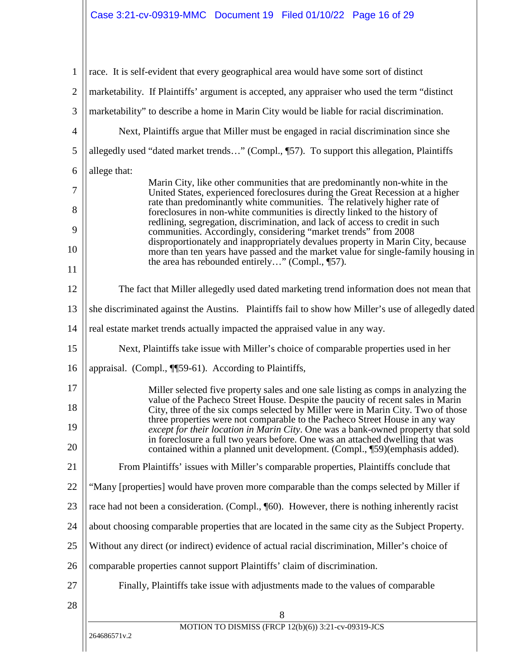| $\mathbf{1}$   | race. It is self-evident that every geographical area would have some sort of distinct                                                                                                                                                             |  |  |
|----------------|----------------------------------------------------------------------------------------------------------------------------------------------------------------------------------------------------------------------------------------------------|--|--|
| $\overline{2}$ | marketability. If Plaintiffs' argument is accepted, any appraiser who used the term "distinct"                                                                                                                                                     |  |  |
| 3              | marketability" to describe a home in Marin City would be liable for racial discrimination.                                                                                                                                                         |  |  |
| $\overline{4}$ | Next, Plaintiffs argue that Miller must be engaged in racial discrimination since she                                                                                                                                                              |  |  |
| 5              | allegedly used "dated market trends" (Compl., [57). To support this allegation, Plaintiffs                                                                                                                                                         |  |  |
| 6              | allege that:                                                                                                                                                                                                                                       |  |  |
| 7              | Marin City, like other communities that are predominantly non-white in the<br>United States, experienced foreclosures during the Great Recession at a higher<br>rate than predominantly white communities. The relatively higher rate of           |  |  |
| 8              | foreclosures in non-white communities is directly linked to the history of<br>redlining, segregation, discrimination, and lack of access to credit in such                                                                                         |  |  |
| 9              | communities. Accordingly, considering "market trends" from 2008<br>disproportionately and inappropriately devalues property in Marin City, because                                                                                                 |  |  |
| 10             | more than ten years have passed and the market value for single-family housing in<br>the area has rebounded entirely" (Compl., [57).                                                                                                               |  |  |
| 11             |                                                                                                                                                                                                                                                    |  |  |
| 12             | The fact that Miller allegedly used dated marketing trend information does not mean that                                                                                                                                                           |  |  |
| 13             | she discriminated against the Austins. Plaintiffs fail to show how Miller's use of allegedly dated                                                                                                                                                 |  |  |
| 14             | real estate market trends actually impacted the appraised value in any way.                                                                                                                                                                        |  |  |
| 15             | Next, Plaintiffs take issue with Miller's choice of comparable properties used in her                                                                                                                                                              |  |  |
| 16             | appraisal. (Compl., ¶[59-61). According to Plaintiffs,                                                                                                                                                                                             |  |  |
| 17             | Miller selected five property sales and one sale listing as comps in analyzing the                                                                                                                                                                 |  |  |
| 18             | value of the Pacheco Street House. Despite the paucity of recent sales in Marin<br>City, three of the six comps selected by Miller were in Marin City. Two of those<br>three properties were not comparable to the Pacheco Street House in any way |  |  |
| 19             | except for their location in Marin City. One was a bank-owned property that sold                                                                                                                                                                   |  |  |
| 20             | in foreclosure a full two years before. One was an attached dwelling that was<br>contained within a planned unit development. (Compl., [59)(emphasis added).                                                                                       |  |  |
| 21             | From Plaintiffs' issues with Miller's comparable properties, Plaintiffs conclude that                                                                                                                                                              |  |  |
| 22             | "Many [properties] would have proven more comparable than the comps selected by Miller if                                                                                                                                                          |  |  |
| 23             | race had not been a consideration. (Compl., [60). However, there is nothing inherently racist                                                                                                                                                      |  |  |
| 24             | about choosing comparable properties that are located in the same city as the Subject Property.                                                                                                                                                    |  |  |
| 25             | Without any direct (or indirect) evidence of actual racial discrimination, Miller's choice of                                                                                                                                                      |  |  |
| 26             | comparable properties cannot support Plaintiffs' claim of discrimination.                                                                                                                                                                          |  |  |
| 27             | Finally, Plaintiffs take issue with adjustments made to the values of comparable                                                                                                                                                                   |  |  |
| 28             |                                                                                                                                                                                                                                                    |  |  |
|                | 8<br>MOTION TO DISMISS (FRCP 12(b)(6)) 3:21-cv-09319-JCS                                                                                                                                                                                           |  |  |
|                | 264686571v.2                                                                                                                                                                                                                                       |  |  |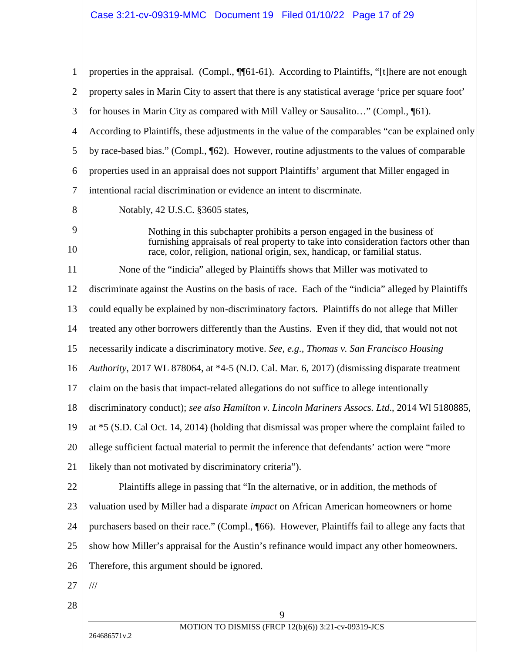<span id="page-16-2"></span><span id="page-16-1"></span><span id="page-16-0"></span>

| 1              | properties in the appraisal. (Compl., ¶¶61-61). According to Plaintiffs, "[t]here are not enough                                                                 |
|----------------|------------------------------------------------------------------------------------------------------------------------------------------------------------------|
| $\overline{2}$ | property sales in Marin City to assert that there is any statistical average 'price per square foot'                                                             |
| 3              | for houses in Marin City as compared with Mill Valley or Sausalito" (Compl., [61).                                                                               |
| 4              | According to Plaintiffs, these adjustments in the value of the comparables "can be explained only                                                                |
| 5              | by race-based bias." (Compl., ¶62). However, routine adjustments to the values of comparable                                                                     |
| 6              | properties used in an appraisal does not support Plaintiffs' argument that Miller engaged in                                                                     |
| $\overline{7}$ | intentional racial discrimination or evidence an intent to discrminate.                                                                                          |
| 8              | Notably, 42 U.S.C. §3605 states,                                                                                                                                 |
| 9              | Nothing in this subchapter prohibits a person engaged in the business of<br>furnishing appraisals of real property to take into consideration factors other than |
| 10             | race, color, religion, national origin, sex, handicap, or familial status.                                                                                       |
| 11             | None of the "indicia" alleged by Plaintiffs shows that Miller was motivated to                                                                                   |
| 12             | discriminate against the Austins on the basis of race. Each of the "indicia" alleged by Plaintiffs                                                               |
| 13             | could equally be explained by non-discriminatory factors. Plaintiffs do not allege that Miller                                                                   |
| 14             | treated any other borrowers differently than the Austins. Even if they did, that would not not                                                                   |
| 15             | necessarily indicate a discriminatory motive. See, e.g., Thomas v. San Francisco Housing                                                                         |
| 16             | Authority, 2017 WL 878064, at *4-5 (N.D. Cal. Mar. 6, 2017) (dismissing disparate treatment                                                                      |
| 17             | claim on the basis that impact-related allegations do not suffice to allege intentionally                                                                        |
| 18             | discriminatory conduct); see also Hamilton v. Lincoln Mariners Assocs. Ltd., 2014 WI 5180885,                                                                    |
| 19             | at $*5$ (S.D. Cal Oct. 14, 2014) (holding that dismissal was proper where the complaint failed to                                                                |
| 20             | allege sufficient factual material to permit the inference that defendants' action were "more                                                                    |
| 21             | likely than not motivated by discriminatory criteria").                                                                                                          |
| 22             | Plaintiffs allege in passing that "In the alternative, or in addition, the methods of                                                                            |
| 23             | valuation used by Miller had a disparate <i>impact</i> on African American homeowners or home                                                                    |
| 24             | purchasers based on their race." (Compl., [66). However, Plaintiffs fail to allege any facts that                                                                |
| 25             | show how Miller's appraisal for the Austin's refinance would impact any other homeowners.                                                                        |
| 26             | Therefore, this argument should be ignored.                                                                                                                      |
| 27             | ///                                                                                                                                                              |
| 28             |                                                                                                                                                                  |
|                | 9<br>MOTION TO DISMISS (FRCP 12(b)(6)) 3:21-cv-09319-JCS                                                                                                         |
|                | 264686571v.2                                                                                                                                                     |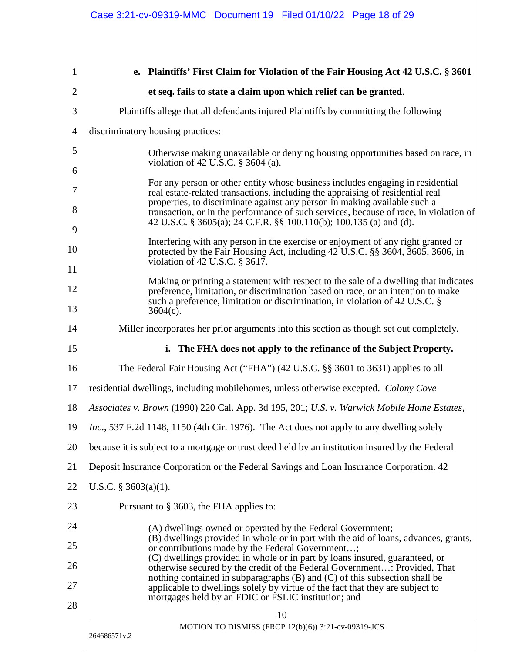<span id="page-17-13"></span><span id="page-17-12"></span><span id="page-17-11"></span><span id="page-17-10"></span><span id="page-17-9"></span><span id="page-17-8"></span><span id="page-17-7"></span><span id="page-17-6"></span><span id="page-17-5"></span><span id="page-17-4"></span><span id="page-17-3"></span><span id="page-17-2"></span><span id="page-17-1"></span><span id="page-17-0"></span>

|                                                                                                                                                              | et seq. fails to state a claim upon which relief can be granted.                                                                                                                                         |  |                                                                                                                                                                                                                                                                                                                                                                                                                                                                                                                                                                                         |
|--------------------------------------------------------------------------------------------------------------------------------------------------------------|----------------------------------------------------------------------------------------------------------------------------------------------------------------------------------------------------------|--|-----------------------------------------------------------------------------------------------------------------------------------------------------------------------------------------------------------------------------------------------------------------------------------------------------------------------------------------------------------------------------------------------------------------------------------------------------------------------------------------------------------------------------------------------------------------------------------------|
|                                                                                                                                                              |                                                                                                                                                                                                          |  |                                                                                                                                                                                                                                                                                                                                                                                                                                                                                                                                                                                         |
|                                                                                                                                                              | Plaintiffs allege that all defendants injured Plaintiffs by committing the following                                                                                                                     |  |                                                                                                                                                                                                                                                                                                                                                                                                                                                                                                                                                                                         |
|                                                                                                                                                              | discriminatory housing practices:                                                                                                                                                                        |  |                                                                                                                                                                                                                                                                                                                                                                                                                                                                                                                                                                                         |
|                                                                                                                                                              | Otherwise making unavailable or denying housing opportunities based on race, in<br>violation of 42 U.S.C. $\S$ 3604 (a).                                                                                 |  |                                                                                                                                                                                                                                                                                                                                                                                                                                                                                                                                                                                         |
|                                                                                                                                                              | For any person or other entity whose business includes engaging in residential<br>real estate-related transactions, including the appraising of residential real                                         |  |                                                                                                                                                                                                                                                                                                                                                                                                                                                                                                                                                                                         |
|                                                                                                                                                              | properties, to discriminate against any person in making available such a<br>transaction, or in the performance of such services, because of race, in violation of                                       |  |                                                                                                                                                                                                                                                                                                                                                                                                                                                                                                                                                                                         |
|                                                                                                                                                              | 42 U.S.C. § 3605(a); 24 C.F.R. §§ 100.110(b); 100.135 (a) and (d).                                                                                                                                       |  |                                                                                                                                                                                                                                                                                                                                                                                                                                                                                                                                                                                         |
|                                                                                                                                                              | Interfering with any person in the exercise or enjoyment of any right granted or<br>protected by the Fair Housing Act, including 42 U.S.C. §§ 3604, 3605, 3606, in<br>violation of 42 U.S.C. $\S 3617$ . |  |                                                                                                                                                                                                                                                                                                                                                                                                                                                                                                                                                                                         |
|                                                                                                                                                              | Making or printing a statement with respect to the sale of a dwelling that indicates                                                                                                                     |  |                                                                                                                                                                                                                                                                                                                                                                                                                                                                                                                                                                                         |
|                                                                                                                                                              | preference, limitation, or discrimination based on race, or an intention to make<br>such a preference, limitation or discrimination, in violation of 42 U.S.C. §                                         |  |                                                                                                                                                                                                                                                                                                                                                                                                                                                                                                                                                                                         |
| 13<br>$3604(c)$ .<br>Miller incorporates her prior arguments into this section as though set out completely.<br>14                                           |                                                                                                                                                                                                          |  |                                                                                                                                                                                                                                                                                                                                                                                                                                                                                                                                                                                         |
|                                                                                                                                                              | i. The FHA does not apply to the refinance of the Subject Property.                                                                                                                                      |  |                                                                                                                                                                                                                                                                                                                                                                                                                                                                                                                                                                                         |
| The Federal Fair Housing Act ("FHA") (42 U.S.C. §§ 3601 to 3631) applies to all                                                                              |                                                                                                                                                                                                          |  |                                                                                                                                                                                                                                                                                                                                                                                                                                                                                                                                                                                         |
| residential dwellings, including mobilehomes, unless otherwise excepted. Colony Cove                                                                         |                                                                                                                                                                                                          |  |                                                                                                                                                                                                                                                                                                                                                                                                                                                                                                                                                                                         |
| Associates v. Brown (1990) 220 Cal. App. 3d 195, 201; U.S. v. Warwick Mobile Home Estates,                                                                   |                                                                                                                                                                                                          |  |                                                                                                                                                                                                                                                                                                                                                                                                                                                                                                                                                                                         |
|                                                                                                                                                              | Inc., 537 F.2d 1148, 1150 (4th Cir. 1976). The Act does not apply to any dwelling solely                                                                                                                 |  |                                                                                                                                                                                                                                                                                                                                                                                                                                                                                                                                                                                         |
| because it is subject to a mortgage or trust deed held by an institution insured by the Federal                                                              |                                                                                                                                                                                                          |  |                                                                                                                                                                                                                                                                                                                                                                                                                                                                                                                                                                                         |
| Deposit Insurance Corporation or the Federal Savings and Loan Insurance Corporation. 42<br>U.S.C. $§$ 3603(a)(1).<br>Pursuant to § 3603, the FHA applies to: |                                                                                                                                                                                                          |  |                                                                                                                                                                                                                                                                                                                                                                                                                                                                                                                                                                                         |
|                                                                                                                                                              |                                                                                                                                                                                                          |  | (A) dwellings owned or operated by the Federal Government;<br>(B) dwellings provided in whole or in part with the aid of loans, advances, grants,<br>or contributions made by the Federal Government;<br>(C) dwellings provided in whole or in part by loans insured, guaranteed, or<br>otherwise secured by the credit of the Federal Government: Provided, That<br>nothing contained in subparagraphs (B) and (C) of this subsection shall be<br>applicable to dwellings solely by virtue of the fact that they are subject to<br>mortgages held by an FDIC or FSLIC institution; and |
|                                                                                                                                                              |                                                                                                                                                                                                          |  | 10                                                                                                                                                                                                                                                                                                                                                                                                                                                                                                                                                                                      |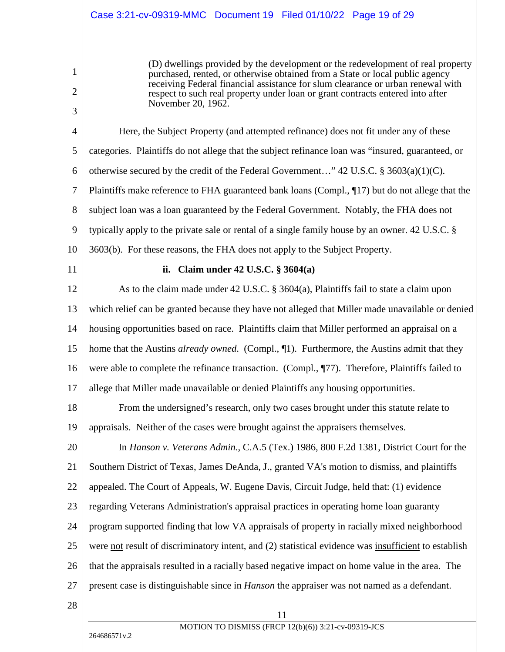## Case 3:21-cv-09319-MMC Document 19 Filed 01/10/22 Page 19 of 29

(D) dwellings provided by the development or the redevelopment of real property purchased, rented, or otherwise obtained from a State or local public agency receiving Federal financial assistance for slum clearance or urban renewal with respect to such real property under loan or grant contracts entered into after November 20, 1962.

4 5 6 7 8 9 10 Here, the Subject Property (and attempted refinance) does not fit under any of these categories. Plaintiffs do not allege that the subject refinance loan was "insured, guaranteed, or otherwise secured by the credit of the Federal Government..." 42 U.S.C.  $\S 3603(a)(1)(C)$ . Plaintiffs make reference to FHA guaranteed bank loans (Compl., ¶17) but do not allege that the subject loan was a loan guaranteed by the Federal Government. Notably, the FHA does not typically apply to the private sale or rental of a single family house by an owner. 42 U.S.C. § 3603(b). For these reasons, the FHA does not apply to the Subject Property.

11

1

2

3

### <span id="page-18-5"></span><span id="page-18-4"></span><span id="page-18-3"></span><span id="page-18-2"></span><span id="page-18-0"></span>**ii. Claim under 42 U.S.C. § 3604(a)**

12 13 14 15 16 17 As to the claim made under 42 U.S.C. § 3604(a), Plaintiffs fail to state a claim upon which relief can be granted because they have not alleged that Miller made unavailable or denied housing opportunities based on race. Plaintiffs claim that Miller performed an appraisal on a home that the Austins *already owned*. (Compl., ¶1). Furthermore, the Austins admit that they were able to complete the refinance transaction. (Compl.,  $\P$ 77). Therefore, Plaintiffs failed to allege that Miller made unavailable or denied Plaintiffs any housing opportunities.

18 19 From the undersigned's research, only two cases brought under this statute relate to appraisals. Neither of the cases were brought against the appraisers themselves.

<span id="page-18-1"></span>20 21 22 23 24 25 26 27 In *Hanson v. Veterans Admin.*, C.A.5 (Tex.) 1986, 800 F.2d 1381, District Court for the Southern District of Texas, James DeAnda, J., granted VA's motion to dismiss, and plaintiffs appealed. The Court of Appeals, W. Eugene Davis, Circuit Judge, held that: (1) evidence regarding Veterans Administration's appraisal practices in operating home loan guaranty program supported finding that low VA appraisals of property in racially mixed neighborhood were not result of discriminatory intent, and (2) statistical evidence was insufficient to establish that the appraisals resulted in a racially based negative impact on home value in the area. The present case is distinguishable since in *Hanson* the appraiser was not named as a defendant.

28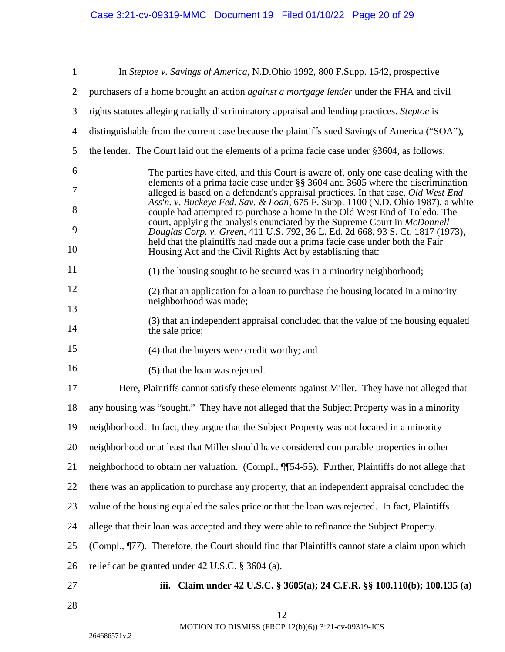<span id="page-19-8"></span><span id="page-19-7"></span><span id="page-19-6"></span><span id="page-19-5"></span><span id="page-19-4"></span><span id="page-19-3"></span><span id="page-19-2"></span><span id="page-19-1"></span><span id="page-19-0"></span>

| $\mathbf{1}$   | In Steptoe v. Savings of America, N.D.Ohio 1992, 800 F.Supp. 1542, prospective                                                                                                                                                                         |
|----------------|--------------------------------------------------------------------------------------------------------------------------------------------------------------------------------------------------------------------------------------------------------|
| $\overline{2}$ | purchasers of a home brought an action <i>against a mortgage lender</i> under the FHA and civil                                                                                                                                                        |
| 3              | rights statutes alleging racially discriminatory appraisal and lending practices. Steptoe is                                                                                                                                                           |
| $\overline{4}$ | distinguishable from the current case because the plaintiffs sued Savings of America ("SOA"),                                                                                                                                                          |
| 5              | the lender. The Court laid out the elements of a prima facie case under §3604, as follows:                                                                                                                                                             |
| 6              | The parties have cited, and this Court is aware of, only one case dealing with the                                                                                                                                                                     |
| 7              | elements of a prima facie case under §§ 3604 and 3605 where the discrimination<br>alleged is based on a defendant's appraisal practices. In that case, Old West End<br>Ass'n. v. Buckeye Fed. Sav. & Loan, 675 F. Supp. 1100 (N.D. Ohio 1987), a white |
| 8              | couple had attempted to purchase a home in the Old West End of Toledo. The<br>court, applying the analysis enunciated by the Supreme Court in McDonnell                                                                                                |
| 9<br>10        | Douglas Corp. v. Green, 411 U.S. 792, 36 L. Ed. 2d 668, 93 S. Ct. 1817 (1973),<br>held that the plaintiffs had made out a prima facie case under both the Fair<br>Housing Act and the Civil Rights Act by establishing that:                           |
| 11             | (1) the housing sought to be secured was in a minority neighborhood;                                                                                                                                                                                   |
| 12             | (2) that an application for a loan to purchase the housing located in a minority                                                                                                                                                                       |
| 13             | neighborhood was made;                                                                                                                                                                                                                                 |
| 14             | (3) that an independent appraisal concluded that the value of the housing equaled<br>the sale price;                                                                                                                                                   |
| 15             | (4) that the buyers were credit worthy; and                                                                                                                                                                                                            |
| 16             | (5) that the loan was rejected.                                                                                                                                                                                                                        |
| 17             | Here, Plaintiffs cannot satisfy these elements against Miller. They have not alleged that                                                                                                                                                              |
| 18             | any housing was "sought." They have not alleged that the Subject Property was in a minority                                                                                                                                                            |
| 19             | neighborhood. In fact, they argue that the Subject Property was not located in a minority                                                                                                                                                              |
| 20             | neighborhood or at least that Miller should have considered comparable properties in other                                                                                                                                                             |
| 21             | neighborhood to obtain her valuation. (Compl., ¶54-55). Further, Plaintiffs do not allege that                                                                                                                                                         |
| 22             | there was an application to purchase any property, that an independent appraisal concluded the                                                                                                                                                         |
| 23             | value of the housing equaled the sales price or that the loan was rejected. In fact, Plaintiffs                                                                                                                                                        |
| 24             | allege that their loan was accepted and they were able to refinance the Subject Property.                                                                                                                                                              |
| 25             | (Compl., ¶77). Therefore, the Court should find that Plaintiffs cannot state a claim upon which                                                                                                                                                        |
| 26             | relief can be granted under 42 U.S.C. § 3604 (a).                                                                                                                                                                                                      |
| 27             | Claim under 42 U.S.C. § 3605(a); 24 C.F.R. §§ 100.110(b); 100.135 (a)<br>iii.                                                                                                                                                                          |
| 28             | 12                                                                                                                                                                                                                                                     |
|                | MOTION TO DISMISS (FRCP 12(b)(6)) 3:21-cv-09319-JCS                                                                                                                                                                                                    |
|                | 264686571v.2                                                                                                                                                                                                                                           |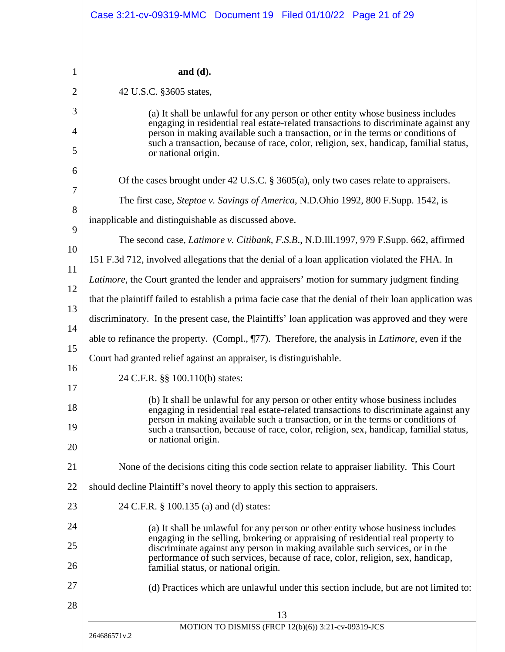<span id="page-20-9"></span><span id="page-20-8"></span><span id="page-20-7"></span><span id="page-20-6"></span><span id="page-20-5"></span><span id="page-20-4"></span><span id="page-20-3"></span><span id="page-20-2"></span><span id="page-20-1"></span><span id="page-20-0"></span>

|                                                                                | and $(d)$ .                                                                                                                                                                                                                                                                                                                                                                   |  |
|--------------------------------------------------------------------------------|-------------------------------------------------------------------------------------------------------------------------------------------------------------------------------------------------------------------------------------------------------------------------------------------------------------------------------------------------------------------------------|--|
|                                                                                | 42 U.S.C. §3605 states,                                                                                                                                                                                                                                                                                                                                                       |  |
|                                                                                | (a) It shall be unlawful for any person or other entity whose business includes                                                                                                                                                                                                                                                                                               |  |
|                                                                                | engaging in residential real estate-related transactions to discriminate against any<br>person in making available such a transaction, or in the terms or conditions of<br>such a transaction, because of race, color, religion, sex, handicap, familial status,                                                                                                              |  |
|                                                                                | or national origin.                                                                                                                                                                                                                                                                                                                                                           |  |
|                                                                                | Of the cases brought under 42 U.S.C. $\S$ 3605(a), only two cases relate to appraisers.                                                                                                                                                                                                                                                                                       |  |
|                                                                                | The first case, Steptoe v. Savings of America, N.D.Ohio 1992, 800 F.Supp. 1542, is                                                                                                                                                                                                                                                                                            |  |
|                                                                                | inapplicable and distinguishable as discussed above.                                                                                                                                                                                                                                                                                                                          |  |
|                                                                                | The second case, <i>Latimore v. Citibank</i> , <i>F.S.B.</i> , N.D.Ill.1997, 979 F.Supp. 662, affirmed                                                                                                                                                                                                                                                                        |  |
|                                                                                | 151 F.3d 712, involved allegations that the denial of a loan application violated the FHA. In                                                                                                                                                                                                                                                                                 |  |
|                                                                                | <i>Latimore</i> , the Court granted the lender and appraisers' motion for summary judgment finding                                                                                                                                                                                                                                                                            |  |
|                                                                                | that the plaintiff failed to establish a prima facie case that the denial of their loan application was                                                                                                                                                                                                                                                                       |  |
|                                                                                | discriminatory. In the present case, the Plaintiffs' loan application was approved and they were                                                                                                                                                                                                                                                                              |  |
|                                                                                | able to refinance the property. (Compl., ¶77). Therefore, the analysis in <i>Latimore</i> , even if the                                                                                                                                                                                                                                                                       |  |
| 15<br>Court had granted relief against an appraiser, is distinguishable.<br>16 |                                                                                                                                                                                                                                                                                                                                                                               |  |
|                                                                                | 24 C.F.R. §§ 100.110(b) states:                                                                                                                                                                                                                                                                                                                                               |  |
|                                                                                | (b) It shall be unlawful for any person or other entity whose business includes                                                                                                                                                                                                                                                                                               |  |
|                                                                                | engaging in residential real estate-related transactions to discriminate against any<br>person in making available such a transaction, or in the terms or conditions of<br>such a transaction, because of race, color, religion, sex, handicap, familial status,                                                                                                              |  |
|                                                                                | or national origin.                                                                                                                                                                                                                                                                                                                                                           |  |
|                                                                                | None of the decisions citing this code section relate to appraiser liability. This Court                                                                                                                                                                                                                                                                                      |  |
|                                                                                | should decline Plaintiff's novel theory to apply this section to appraisers.                                                                                                                                                                                                                                                                                                  |  |
|                                                                                | 24 C.F.R. § 100.135 (a) and (d) states:                                                                                                                                                                                                                                                                                                                                       |  |
|                                                                                | (a) It shall be unlawful for any person or other entity whose business includes<br>engaging in the selling, brokering or appraising of residential real property to<br>discriminate against any person in making available such services, or in the<br>performance of such services, because of race, color, religion, sex, handicap,<br>familial status, or national origin. |  |
|                                                                                | (d) Practices which are unlawful under this section include, but are not limited to:                                                                                                                                                                                                                                                                                          |  |
|                                                                                | 13<br>MOTION TO DISMISS (FRCP 12(b)(6)) 3:21-cv-09319-JCS                                                                                                                                                                                                                                                                                                                     |  |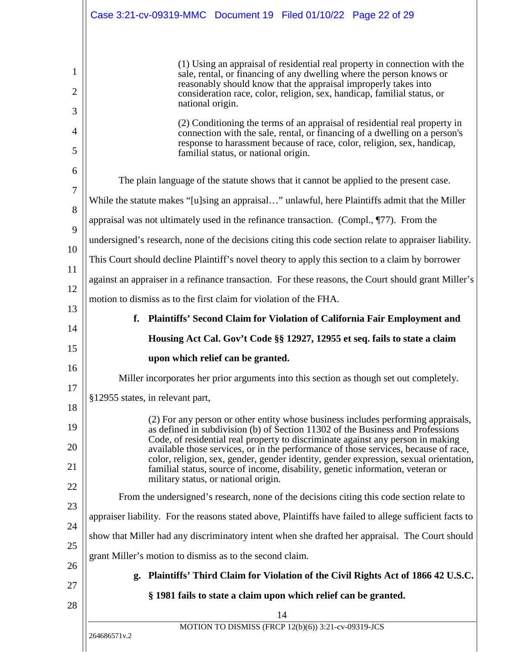<span id="page-21-4"></span><span id="page-21-3"></span><span id="page-21-2"></span><span id="page-21-1"></span><span id="page-21-0"></span>

|                                                          | Case 3:21-cv-09319-MMC Document 19 Filed 01/10/22 Page 22 of 29                                                                                                                                                                                                                                                                                                                                                                                                                                                                                                  |
|----------------------------------------------------------|------------------------------------------------------------------------------------------------------------------------------------------------------------------------------------------------------------------------------------------------------------------------------------------------------------------------------------------------------------------------------------------------------------------------------------------------------------------------------------------------------------------------------------------------------------------|
|                                                          | (1) Using an appraisal of residential real property in connection with the<br>sale, rental, or financing of any dwelling where the person knows or<br>reasonably should know that the appraisal improperly takes into<br>consideration race, color, religion, sex, handicap, familial status, or<br>national origin.<br>(2) Conditioning the terms of an appraisal of residential real property in<br>connection with the sale, rental, or financing of a dwelling on a person's<br>response to harassment because of race, color, religion, sex, handicap,      |
|                                                          | familial status, or national origin.<br>The plain language of the statute shows that it cannot be applied to the present case.                                                                                                                                                                                                                                                                                                                                                                                                                                   |
|                                                          | While the statute makes "[u]sing an appraisal" unlawful, here Plaintiffs admit that the Miller                                                                                                                                                                                                                                                                                                                                                                                                                                                                   |
|                                                          | appraisal was not ultimately used in the refinance transaction. (Compl., $\P$ 77). From the                                                                                                                                                                                                                                                                                                                                                                                                                                                                      |
|                                                          | undersigned's research, none of the decisions citing this code section relate to appraiser liability.                                                                                                                                                                                                                                                                                                                                                                                                                                                            |
|                                                          | This Court should decline Plaintiff's novel theory to apply this section to a claim by borrower                                                                                                                                                                                                                                                                                                                                                                                                                                                                  |
|                                                          | against an appraiser in a refinance transaction. For these reasons, the Court should grant Miller's                                                                                                                                                                                                                                                                                                                                                                                                                                                              |
|                                                          | motion to dismiss as to the first claim for violation of the FHA.                                                                                                                                                                                                                                                                                                                                                                                                                                                                                                |
| f.                                                       | Plaintiffs' Second Claim for Violation of California Fair Employment and                                                                                                                                                                                                                                                                                                                                                                                                                                                                                         |
|                                                          | Housing Act Cal. Gov't Code §§ 12927, 12955 et seq. fails to state a claim                                                                                                                                                                                                                                                                                                                                                                                                                                                                                       |
|                                                          | upon which relief can be granted.                                                                                                                                                                                                                                                                                                                                                                                                                                                                                                                                |
|                                                          |                                                                                                                                                                                                                                                                                                                                                                                                                                                                                                                                                                  |
|                                                          | Miller incorporates her prior arguments into this section as though set out completely.                                                                                                                                                                                                                                                                                                                                                                                                                                                                          |
| §12955 states, in relevant part,                         |                                                                                                                                                                                                                                                                                                                                                                                                                                                                                                                                                                  |
|                                                          | (2) For any person or other entity whose business includes performing appraisals,<br>as defined in subdivision (b) of Section 11302 of the Business and Professions<br>Code, of residential real property to discriminate against any person in making<br>available those services, or in the performance of those services, because of race,<br>color, religion, sex, gender, gender identity, gender expression, sexual orientation,<br>familial status, source of income, disability, genetic information, veteran or<br>military status, or national origin. |
|                                                          | From the undersigned's research, none of the decisions citing this code section relate to                                                                                                                                                                                                                                                                                                                                                                                                                                                                        |
|                                                          | appraiser liability. For the reasons stated above, Plaintiffs have failed to allege sufficient facts to                                                                                                                                                                                                                                                                                                                                                                                                                                                          |
|                                                          | show that Miller had any discriminatory intent when she drafted her appraisal. The Court should                                                                                                                                                                                                                                                                                                                                                                                                                                                                  |
| grant Miller's motion to dismiss as to the second claim. |                                                                                                                                                                                                                                                                                                                                                                                                                                                                                                                                                                  |
| g.                                                       | Plaintiffs' Third Claim for Violation of the Civil Rights Act of 1866 42 U.S.C.                                                                                                                                                                                                                                                                                                                                                                                                                                                                                  |
|                                                          | § 1981 fails to state a claim upon which relief can be granted.                                                                                                                                                                                                                                                                                                                                                                                                                                                                                                  |
|                                                          | 14<br>MOTION TO DISMISS (FRCP 12(b)(6)) 3:21-cv-09319-JCS                                                                                                                                                                                                                                                                                                                                                                                                                                                                                                        |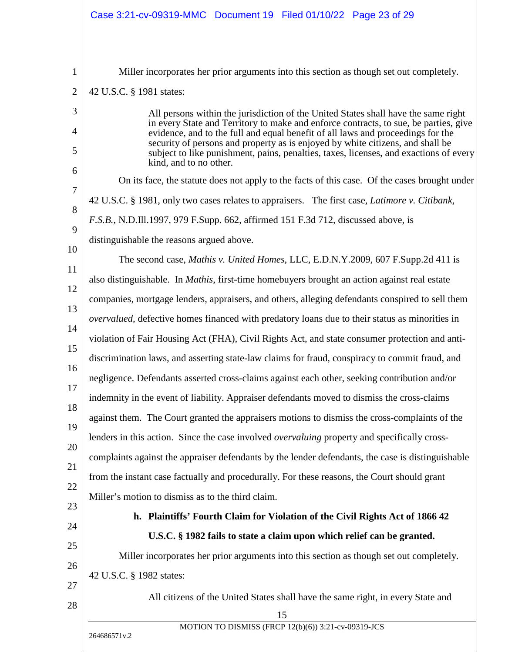<span id="page-22-3"></span><span id="page-22-2"></span><span id="page-22-1"></span><span id="page-22-0"></span>

| Case 3:21-cv-09319-MMC Document 19 Filed 01/10/22 Page 23 of 29                                                                                                                                                                                           |
|-----------------------------------------------------------------------------------------------------------------------------------------------------------------------------------------------------------------------------------------------------------|
| Miller incorporates her prior arguments into this section as though set out completely.                                                                                                                                                                   |
| 42 U.S.C. § 1981 states:                                                                                                                                                                                                                                  |
| All persons within the jurisdiction of the United States shall have the same right                                                                                                                                                                        |
| in every State and Territory to make and enforce contracts, to sue, be parties, give<br>evidence, and to the full and equal benefit of all laws and proceedings for the<br>security of persons and property as is enjoyed by white citizens, and shall be |
| subject to like punishment, pains, penalties, taxes, licenses, and exactions of every<br>kind, and to no other.                                                                                                                                           |
| On its face, the statute does not apply to the facts of this case. Of the cases brought under                                                                                                                                                             |
| 42 U.S.C. § 1981, only two cases relates to appraisers. The first case, <i>Latimore v. Citibank</i> ,                                                                                                                                                     |
| F.S.B., N.D.Ill.1997, 979 F.Supp. 662, affirmed 151 F.3d 712, discussed above, is                                                                                                                                                                         |
| distinguishable the reasons argued above.                                                                                                                                                                                                                 |
| The second case, Mathis v. United Homes, LLC, E.D.N.Y.2009, 607 F.Supp.2d 411 is                                                                                                                                                                          |
| also distinguishable. In <i>Mathis</i> , first-time homebuyers brought an action against real estate                                                                                                                                                      |
| companies, mortgage lenders, appraisers, and others, alleging defendants conspired to sell them                                                                                                                                                           |
| <i>overvalued</i> , defective homes financed with predatory loans due to their status as minorities in                                                                                                                                                    |
| violation of Fair Housing Act (FHA), Civil Rights Act, and state consumer protection and anti-                                                                                                                                                            |
| discrimination laws, and asserting state-law claims for fraud, conspiracy to commit fraud, and                                                                                                                                                            |
| negligence. Defendants asserted cross-claims against each other, seeking contribution and/or                                                                                                                                                              |
| indemnity in the event of liability. Appraiser defendants moved to dismiss the cross-claims                                                                                                                                                               |
| against them. The Court granted the appraisers motions to dismiss the cross-complaints of the                                                                                                                                                             |
| lenders in this action. Since the case involved <i>overvaluing</i> property and specifically cross-                                                                                                                                                       |
| complaints against the appraiser defendants by the lender defendants, the case is distinguishable                                                                                                                                                         |
| from the instant case factually and procedurally. For these reasons, the Court should grant                                                                                                                                                               |
| Miller's motion to dismiss as to the third claim.                                                                                                                                                                                                         |
| h. Plaintiffs' Fourth Claim for Violation of the Civil Rights Act of 1866 42                                                                                                                                                                              |
| U.S.C. § 1982 fails to state a claim upon which relief can be granted.                                                                                                                                                                                    |
| Miller incorporates her prior arguments into this section as though set out completely.                                                                                                                                                                   |
| 42 U.S.C. § 1982 states:                                                                                                                                                                                                                                  |
| All citizens of the United States shall have the same right, in every State and                                                                                                                                                                           |
| 15                                                                                                                                                                                                                                                        |
| MOTION TO DISMISS (FRCP 12(b)(6)) 3:21-cv-09319-JCS<br>264686571v.2                                                                                                                                                                                       |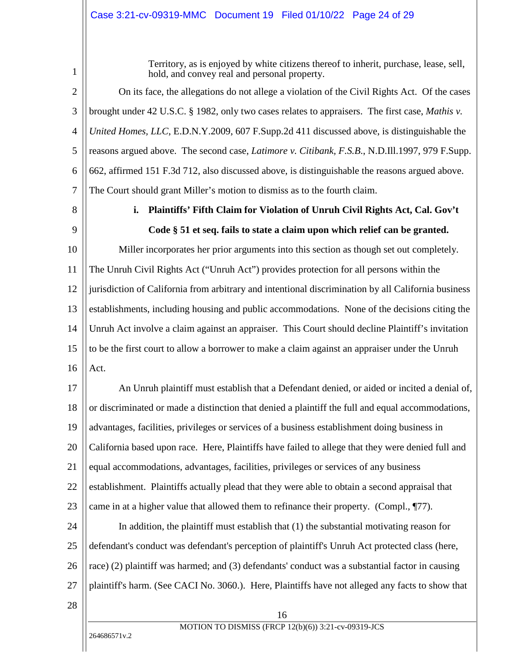1

<span id="page-23-4"></span><span id="page-23-2"></span><span id="page-23-1"></span>Territory, as is enjoyed by white citizens thereof to inherit, purchase, lease, sell, hold, and convey real and personal property.

2 3 4 5 6 7 On its face, the allegations do not allege a violation of the Civil Rights Act. Of the cases brought under 42 U.S.C. § 1982, only two cases relates to appraisers. The first case, *Mathis v. United Homes, LLC*, E.D.N.Y.2009, 607 F.Supp.2d 411 discussed above, is distinguishable the reasons argued above. The second case, *Latimore v. Citibank, F.S.B*., N.D.Ill.1997, 979 F.Supp. 662, affirmed 151 F.3d 712, also discussed above, is distinguishable the reasons argued above. The Court should grant Miller's motion to dismiss as to the fourth claim.

8

9

## <span id="page-23-6"></span><span id="page-23-0"></span>**i. Plaintiffs' Fifth Claim for Violation of Unruh Civil Rights Act, Cal. Gov't Code § 51 et seq. fails to state a claim upon which relief can be granted.**

<span id="page-23-5"></span>10 11 12 13 14 15 16 Miller incorporates her prior arguments into this section as though set out completely. The Unruh Civil Rights Act ("Unruh Act") provides protection for all persons within the jurisdiction of California from arbitrary and intentional discrimination by all California business establishments, including housing and public accommodations. None of the decisions citing the Unruh Act involve a claim against an appraiser. This Court should decline Plaintiff's invitation to be the first court to allow a borrower to make a claim against an appraiser under the Unruh Act.

<span id="page-23-3"></span>17 18 19 20 21 22 23 24 25 26 27 28 An Unruh plaintiff must establish that a Defendant denied, or aided or incited a denial of, or discriminated or made a distinction that denied a plaintiff the full and equal accommodations, advantages, facilities, privileges or services of a business establishment doing business in California based upon race. Here, Plaintiffs have failed to allege that they were denied full and equal accommodations, advantages, facilities, privileges or services of any business establishment. Plaintiffs actually plead that they were able to obtain a second appraisal that came in at a higher value that allowed them to refinance their property. (Compl., ¶77). In addition, the plaintiff must establish that (1) the substantial motivating reason for defendant's conduct was defendant's perception of plaintiff's Unruh Act protected class (here, race) (2) plaintiff was harmed; and (3) defendants' conduct was a substantial factor in causing plaintiff's harm. (See CACI No. 3060.). Here, Plaintiffs have not alleged any facts to show that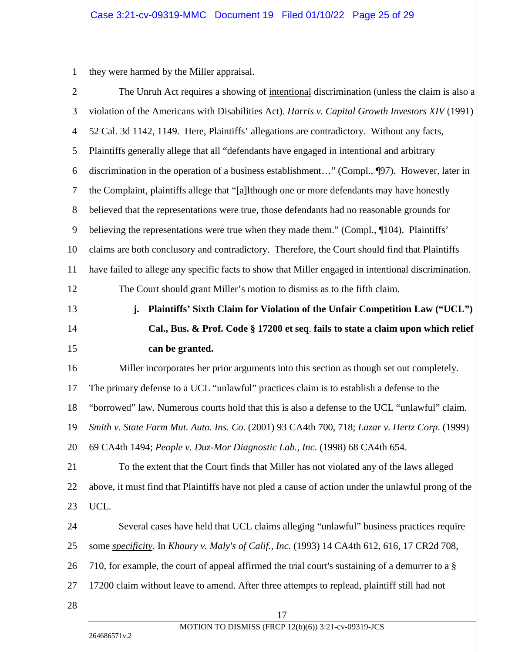<span id="page-24-8"></span><span id="page-24-6"></span><span id="page-24-1"></span>1 they were harmed by the Miller appraisal.

<span id="page-24-7"></span><span id="page-24-5"></span><span id="page-24-4"></span><span id="page-24-3"></span><span id="page-24-2"></span><span id="page-24-0"></span>

| $\overline{2}$   | The Unruh Act requires a showing of intentional discrimination (unless the claim is also a          |  |
|------------------|-----------------------------------------------------------------------------------------------------|--|
| 3                | violation of the Americans with Disabilities Act). Harris v. Capital Growth Investors XIV (1991)    |  |
| 4                | 52 Cal. 3d 1142, 1149. Here, Plaintiffs' allegations are contradictory. Without any facts,          |  |
| 5                | Plaintiffs generally allege that all "defendants have engaged in intentional and arbitrary          |  |
| 6                | discrimination in the operation of a business establishment" (Compl., ¶97). However, later in       |  |
| $\boldsymbol{7}$ | the Complaint, plaintiffs allege that "[a]lthough one or more defendants may have honestly          |  |
| 8                | believed that the representations were true, those defendants had no reasonable grounds for         |  |
| 9                | believing the representations were true when they made them." (Compl., ¶104). Plaintiffs'           |  |
| 10               | claims are both conclusory and contradictory. Therefore, the Court should find that Plaintiffs      |  |
| 11               | have failed to allege any specific facts to show that Miller engaged in intentional discrimination. |  |
| 12               | The Court should grant Miller's motion to dismiss as to the fifth claim.                            |  |
| 13               | Plaintiffs' Sixth Claim for Violation of the Unfair Competition Law ("UCL")<br>j.                   |  |
| 14               | Cal., Bus. & Prof. Code § 17200 et seq. fails to state a claim upon which relief                    |  |
| 15               | can be granted.                                                                                     |  |
| 16               | Miller incorporates her prior arguments into this section as though set out completely.             |  |
| 17               | The primary defense to a UCL "unlawful" practices claim is to establish a defense to the            |  |
| 18               | "borrowed" law. Numerous courts hold that this is also a defense to the UCL "unlawful" claim.       |  |
| 19               | Smith v. State Farm Mut. Auto. Ins. Co. (2001) 93 CA4th 700, 718; Lazar v. Hertz Corp. (1999)       |  |
| 20               | 69 CA4th 1494; People v. Duz-Mor Diagnostic Lab., Inc. (1998) 68 CA4th 654.                         |  |
| 21               | To the extent that the Court finds that Miller has not violated any of the laws alleged             |  |
| 22               | above, it must find that Plaintiffs have not pled a cause of action under the unlawful prong of the |  |
| 23               | UCL.                                                                                                |  |
| 24               | Several cases have held that UCL claims alleging "unlawful" business practices require              |  |
| 25               | some specificity. In Khoury v. Maly's of Calif., Inc. (1993) 14 CA4th 612, 616, 17 CR2d 708,        |  |
| 26               | 710, for example, the court of appeal affirmed the trial court's sustaining of a demurrer to a §    |  |
| 27               | 17200 claim without leave to amend. After three attempts to replead, plaintiff still had not        |  |
| 28               | 17                                                                                                  |  |
|                  | MOTION TO DISMISS (FRCP 12(b)(6)) 3:21-cv-09319-JCS                                                 |  |
|                  | 264686571v.2                                                                                        |  |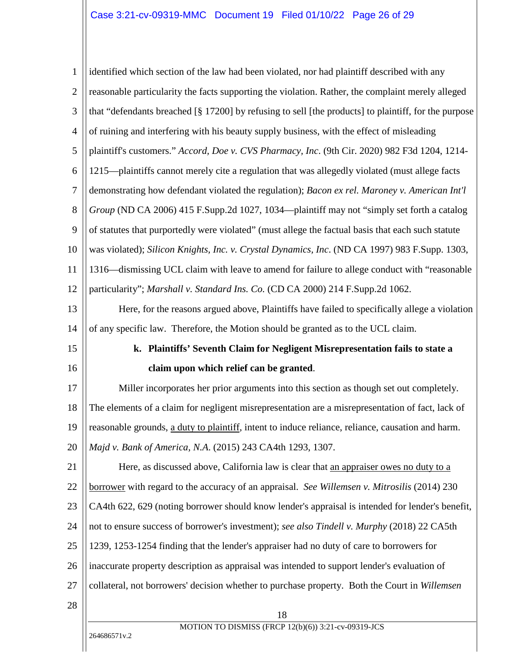<span id="page-25-8"></span><span id="page-25-7"></span><span id="page-25-6"></span><span id="page-25-5"></span><span id="page-25-4"></span><span id="page-25-3"></span><span id="page-25-2"></span><span id="page-25-1"></span><span id="page-25-0"></span>

| $\mathbf{1}$   | identified which section of the law had been violated, nor had plaintiff described with any          |  |
|----------------|------------------------------------------------------------------------------------------------------|--|
| $\overline{2}$ | reasonable particularity the facts supporting the violation. Rather, the complaint merely alleged    |  |
| 3              | that "defendants breached [§ 17200] by refusing to sell [the products] to plaintiff, for the purpose |  |
| $\overline{4}$ | of ruining and interfering with his beauty supply business, with the effect of misleading            |  |
| 5              | plaintiff's customers." Accord, Doe v. CVS Pharmacy, Inc. (9th Cir. 2020) 982 F3d 1204, 1214-        |  |
| 6              | 1215—plaintiffs cannot merely cite a regulation that was allegedly violated (must allege facts       |  |
| $\overline{7}$ | demonstrating how defendant violated the regulation); Bacon ex rel. Maroney v. American Int'l        |  |
| 8              | Group (ND CA 2006) 415 F.Supp.2d 1027, 1034—plaintiff may not "simply set forth a catalog            |  |
| 9              | of statutes that purportedly were violated" (must allege the factual basis that each such statute    |  |
| 10             | was violated); Silicon Knights, Inc. v. Crystal Dynamics, Inc. (ND CA 1997) 983 F.Supp. 1303,        |  |
| 11             | 1316—dismissing UCL claim with leave to amend for failure to allege conduct with "reasonable"        |  |
| 12             | particularity"; Marshall v. Standard Ins. Co. (CD CA 2000) 214 F.Supp.2d 1062.                       |  |
| 13             | Here, for the reasons argued above, Plaintiffs have failed to specifically allege a violation        |  |
| 14             | of any specific law. Therefore, the Motion should be granted as to the UCL claim.                    |  |
| 15             | k. Plaintiffs' Seventh Claim for Negligent Misrepresentation fails to state a                        |  |
|                |                                                                                                      |  |
| 16             | claim upon which relief can be granted.                                                              |  |
| 17             | Miller incorporates her prior arguments into this section as though set out completely.              |  |
| 18             | The elements of a claim for negligent misrepresentation are a misrepresentation of fact, lack of     |  |
| 19             | reasonable grounds, a duty to plaintiff, intent to induce reliance, reliance, causation and harm.    |  |
| 20             | Majd v. Bank of America, N.A. (2015) 243 CA4th 1293, 1307.                                           |  |
| 21             | Here, as discussed above, California law is clear that an appraiser owes no duty to a                |  |
| 22             | borrower with regard to the accuracy of an appraisal. See Willemsen v. Mitrosilis (2014) 230         |  |
| 23             | CA4th 622, 629 (noting borrower should know lender's appraisal is intended for lender's benefit,     |  |
| 24             | not to ensure success of borrower's investment); see also Tindell v. Murphy (2018) 22 CA5th          |  |
| 25             | 1239, 1253-1254 finding that the lender's appraiser had no duty of care to borrowers for             |  |
| 26             | inaccurate property description as appraisal was intended to support lender's evaluation of          |  |
| 27             | collateral, not borrowers' decision whether to purchase property. Both the Court in Willemsen        |  |
| 28             |                                                                                                      |  |
|                | 18<br>MOTION TO DISMISS (FRCP 12(b)(6)) 3:21-cv-09319-JCS<br>264686571v.2                            |  |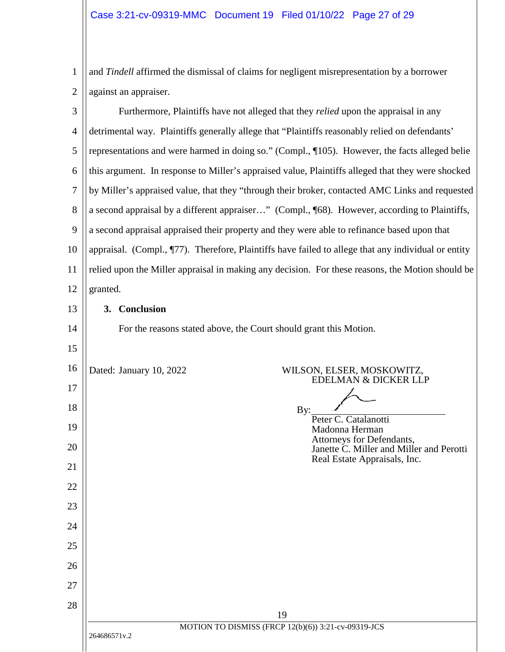1 2 and *Tindell* affirmed the dismissal of claims for negligent misrepresentation by a borrower against an appraiser.

<span id="page-26-0"></span>19 MOTION TO DISMISS (FRCP 12(b)(6)) 3:21-cv-09319-JCS 264686571v.2 3 4 5 6 7 8 9 10 11 12 13 14 15 16 17 18 19 20 21 22 23 24 25 26 27 28 Furthermore, Plaintiffs have not alleged that they *relied* upon the appraisal in any detrimental way. Plaintiffs generally allege that "Plaintiffs reasonably relied on defendants' representations and were harmed in doing so." (Compl., ¶105). However, the facts alleged belie this argument. In response to Miller's appraised value, Plaintiffs alleged that they were shocked by Miller's appraised value, that they "through their broker, contacted AMC Links and requested a second appraisal by a different appraiser…" (Compl., ¶68). However, according to Plaintiffs, a second appraisal appraised their property and they were able to refinance based upon that appraisal. (Compl., ¶77). Therefore, Plaintiffs have failed to allege that any individual or entity relied upon the Miller appraisal in making any decision. For these reasons, the Motion should be granted. **3. Conclusion**  For the reasons stated above, the Court should grant this Motion. Dated: January 10, 2022 WILSON, ELSER, MOSKOWITZ, EDELMAN & DICKER LLP By: Peter C. Catalanotti Madonna Herman Attorneys for Defendants, Janette C. Miller and Miller and Perotti Real Estate Appraisals, Inc.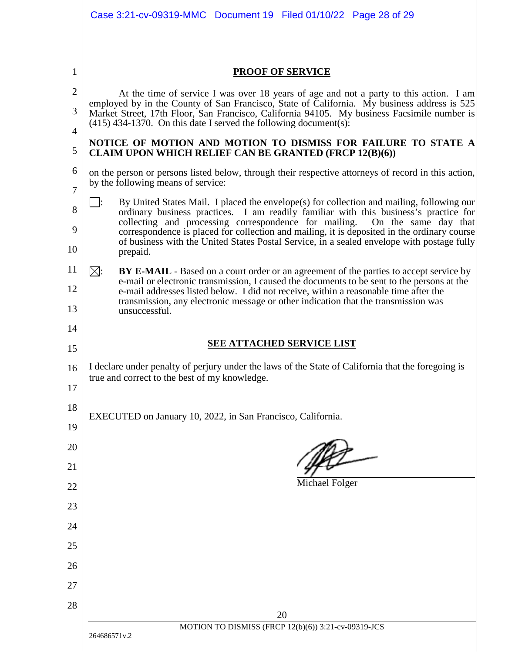|                     | Case 3:21-cv-09319-MMC Document 19 Filed 01/10/22 Page 28 of 29                                                                                                                                                                                                             |  |  |
|---------------------|-----------------------------------------------------------------------------------------------------------------------------------------------------------------------------------------------------------------------------------------------------------------------------|--|--|
|                     |                                                                                                                                                                                                                                                                             |  |  |
| 1                   | <b>PROOF OF SERVICE</b>                                                                                                                                                                                                                                                     |  |  |
| $\overline{2}$      | At the time of service I was over 18 years of age and not a party to this action. I am                                                                                                                                                                                      |  |  |
| 3                   | employed by in the County of San Francisco, State of California. My business address is 525<br>Market Street, 17th Floor, San Francisco, California 94105. My business Facsimile number is<br>$(415)$ 434-1370. On this date I served the following document(s):            |  |  |
| $\overline{4}$<br>5 | NOTICE OF MOTION AND MOTION TO DISMISS FOR FAILURE TO STATE A<br><b>CLAIM UPON WHICH RELIEF CAN BE GRANTED (FRCP 12(B)(6))</b>                                                                                                                                              |  |  |
| 6<br>$\overline{7}$ | on the person or persons listed below, through their respective attorneys of record in this action,<br>by the following means of service:                                                                                                                                   |  |  |
| 8                   | <u>.</u><br>By United States Mail. I placed the envelope(s) for collection and mailing, following our<br>ordinary business practices. I am readily familiar with this business's practice for<br>collecting and processing correspondence for mailing. On the same day that |  |  |
| 9<br>10             | correspondence is placed for collection and mailing, it is deposited in the ordinary course<br>of business with the United States Postal Service, in a sealed envelope with postage fully<br>prepaid.                                                                       |  |  |
| 11                  | $\boxtimes:$<br>BY E-MAIL - Based on a court order or an agreement of the parties to accept service by                                                                                                                                                                      |  |  |
| 12                  | e-mail or electronic transmission, I caused the documents to be sent to the persons at the<br>e-mail addresses listed below. I did not receive, within a reasonable time after the                                                                                          |  |  |
| 13                  | transmission, any electronic message or other indication that the transmission was<br>unsuccessful.                                                                                                                                                                         |  |  |
| 14                  | <b>SEE ATTACHED SERVICE LIST</b>                                                                                                                                                                                                                                            |  |  |
| 15                  |                                                                                                                                                                                                                                                                             |  |  |
| 16<br>17            | I declare under penalty of perjury under the laws of the State of California that the foregoing is<br>true and correct to the best of my knowledge.                                                                                                                         |  |  |
| 18                  | EXECUTED on January 10, 2022, in San Francisco, California.                                                                                                                                                                                                                 |  |  |
| 19                  |                                                                                                                                                                                                                                                                             |  |  |
| 20                  |                                                                                                                                                                                                                                                                             |  |  |
| 21                  |                                                                                                                                                                                                                                                                             |  |  |
| 22                  | Michael Folger                                                                                                                                                                                                                                                              |  |  |
| 23                  |                                                                                                                                                                                                                                                                             |  |  |
| 24                  |                                                                                                                                                                                                                                                                             |  |  |
| 25                  |                                                                                                                                                                                                                                                                             |  |  |
| 26                  |                                                                                                                                                                                                                                                                             |  |  |
| 27                  |                                                                                                                                                                                                                                                                             |  |  |
| 28                  |                                                                                                                                                                                                                                                                             |  |  |
|                     | 20<br>MOTION TO DISMISS (FRCP 12(b)(6)) 3:21-cv-09319-JCS                                                                                                                                                                                                                   |  |  |
|                     | 264686571v.2                                                                                                                                                                                                                                                                |  |  |